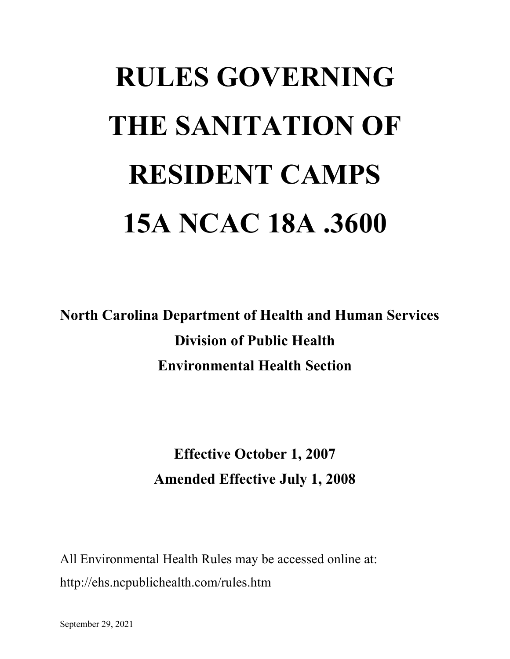# **RULES GOVERNING THE SANITATION OF RESIDENT CAMPS 15A NCAC 18A .3600**

**North Carolina Department of Health and Human Services Division of Public Health Environmental Health Section**

> **Effective October 1, 2007 Amended Effective July 1, 2008**

All Environmental Health Rules may be accessed online at: http://ehs.ncpublichealth.com/rules.htm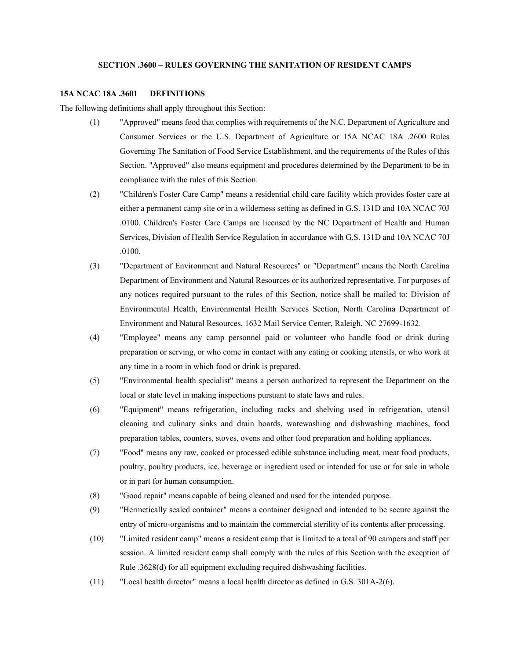# **SECTION .3600 – RULES GOVERNING THE SANITATION OF RESIDENT CAMPS**

#### **15A NCAC 18A .3601 DEFINITIONS**

The following definitions shall apply throughout this Section:

- (1) "Approved" means food that complies with requirements of the N.C. Department of Agriculture and Consumer Services or the U.S. Department of Agriculture or 15A NCAC 18A .2600 Rules Governing The Sanitation of Food Service Establishment, and the requirements of the Rules of this Section. "Approved" also means equipment and procedures determined by the Department to be in compliance with the rules of this Section.
- (2) "Children's Foster Care Camp" means a residential child care facility which provides foster care at either a permanent camp site or in a wilderness setting as defined in G.S. 131D and 10A NCAC 70J .0100. Children's Foster Care Camps are licensed by the NC Department of Health and Human Services, Division of Health Service Regulation in accordance with G.S. 131D and 10A NCAC 70J .0100.
- (3) "Department of Environment and Natural Resources" or "Department" means the North Carolina Department of Environment and Natural Resources or its authorized representative. For purposes of any notices required pursuant to the rules of this Section, notice shall be mailed to: Division of Environmental Health, Environmental Health Services Section, North Carolina Department of Environment and Natural Resources, 1632 Mail Service Center, Raleigh, NC 27699-1632.
- (4) "Employee" means any camp personnel paid or volunteer who handle food or drink during preparation or serving, or who come in contact with any eating or cooking utensils, or who work at any time in a room in which food or drink is prepared.
- (5) "Environmental health specialist" means a person authorized to represent the Department on the local or state level in making inspections pursuant to state laws and rules.
- (6) "Equipment" means refrigeration, including racks and shelving used in refrigeration, utensil cleaning and culinary sinks and drain boards, warewashing and dishwashing machines, food preparation tables, counters, stoves, ovens and other food preparation and holding appliances.
- (7) "Food" means any raw, cooked or processed edible substance including meat, meat food products, poultry, poultry products, ice, beverage or ingredient used or intended for use or for sale in whole or in part for human consumption.
- (8) "Good repair" means capable of being cleaned and used for the intended purpose.
- (9) "Hermetically sealed container" means a container designed and intended to be secure against the entry of micro-organisms and to maintain the commercial sterility of its contents after processing.
- (10) "Limited resident camp" means a resident camp that is limited to a total of 90 campers and staff per session. A limited resident camp shall comply with the rules of this Section with the exception of Rule .3628(d) for all equipment excluding required dishwashing facilities.
- (11) "Local health director" means a local health director as defined in G.S. 301A-2(6).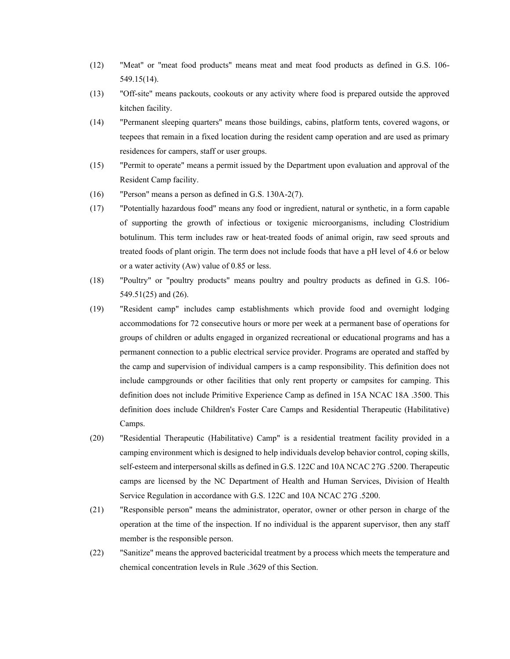- (12) "Meat" or "meat food products" means meat and meat food products as defined in G.S. 106- 549.15(14).
- (13) "Off-site" means packouts, cookouts or any activity where food is prepared outside the approved kitchen facility.
- (14) "Permanent sleeping quarters" means those buildings, cabins, platform tents, covered wagons, or teepees that remain in a fixed location during the resident camp operation and are used as primary residences for campers, staff or user groups.
- (15) "Permit to operate" means a permit issued by the Department upon evaluation and approval of the Resident Camp facility.
- (16) "Person" means a person as defined in G.S. 130A-2(7).
- (17) "Potentially hazardous food" means any food or ingredient, natural or synthetic, in a form capable of supporting the growth of infectious or toxigenic microorganisms, including Clostridium botulinum. This term includes raw or heat-treated foods of animal origin, raw seed sprouts and treated foods of plant origin. The term does not include foods that have a pH level of 4.6 or below or a water activity (Aw) value of 0.85 or less.
- (18) "Poultry" or "poultry products" means poultry and poultry products as defined in G.S. 106- 549.51(25) and (26).
- (19) "Resident camp" includes camp establishments which provide food and overnight lodging accommodations for 72 consecutive hours or more per week at a permanent base of operations for groups of children or adults engaged in organized recreational or educational programs and has a permanent connection to a public electrical service provider. Programs are operated and staffed by the camp and supervision of individual campers is a camp responsibility. This definition does not include campgrounds or other facilities that only rent property or campsites for camping. This definition does not include Primitive Experience Camp as defined in 15A NCAC 18A .3500. This definition does include Children's Foster Care Camps and Residential Therapeutic (Habilitative) Camps.
- (20) "Residential Therapeutic (Habilitative) Camp" is a residential treatment facility provided in a camping environment which is designed to help individuals develop behavior control, coping skills, self-esteem and interpersonal skills as defined in G.S. 122C and 10A NCAC 27G .5200. Therapeutic camps are licensed by the NC Department of Health and Human Services, Division of Health Service Regulation in accordance with G.S. 122C and 10A NCAC 27G .5200.
- (21) "Responsible person" means the administrator, operator, owner or other person in charge of the operation at the time of the inspection. If no individual is the apparent supervisor, then any staff member is the responsible person.
- (22) "Sanitize" means the approved bactericidal treatment by a process which meets the temperature and chemical concentration levels in Rule .3629 of this Section.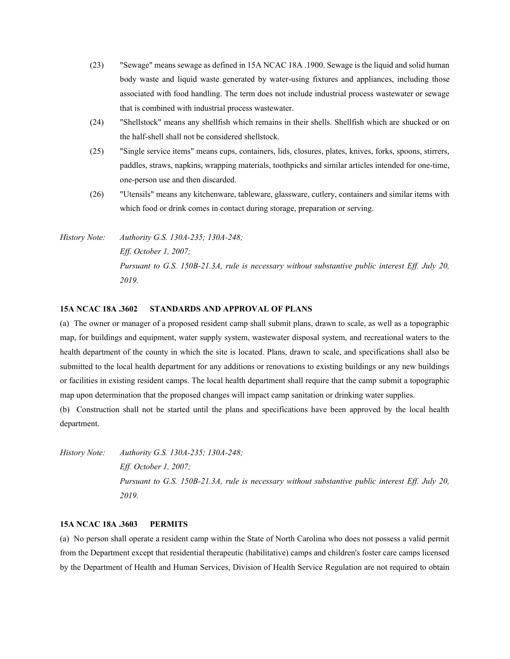- (23) "Sewage" means sewage as defined in 15A NCAC 18A .1900. Sewage is the liquid and solid human body waste and liquid waste generated by water-using fixtures and appliances, including those associated with food handling. The term does not include industrial process wastewater or sewage that is combined with industrial process wastewater.
- (24) "Shellstock" means any shellfish which remains in their shells. Shellfish which are shucked or on the half-shell shall not be considered shellstock.
- (25) "Single service items" means cups, containers, lids, closures, plates, knives, forks, spoons, stirrers, paddles, straws, napkins, wrapping materials, toothpicks and similar articles intended for one-time, one-person use and then discarded.
- (26) "Utensils" means any kitchenware, tableware, glassware, cutlery, containers and similar items with which food or drink comes in contact during storage, preparation or serving.

*History Note: Authority G.S. 130A-235; 130A-248; Eff. October 1, 2007; Pursuant to G.S. 150B-21.3A, rule is necessary without substantive public interest Eff. July 20, 2019.*

## **15A NCAC 18A .3602 STANDARDS AND APPROVAL OF PLANS**

(a) The owner or manager of a proposed resident camp shall submit plans, drawn to scale, as well as a topographic map, for buildings and equipment, water supply system, wastewater disposal system, and recreational waters to the health department of the county in which the site is located. Plans, drawn to scale, and specifications shall also be submitted to the local health department for any additions or renovations to existing buildings or any new buildings or facilities in existing resident camps. The local health department shall require that the camp submit a topographic map upon determination that the proposed changes will impact camp sanitation or drinking water supplies.

(b) Construction shall not be started until the plans and specifications have been approved by the local health department.

*History Note: Authority G.S. 130A-235; 130A-248; Eff. October 1, 2007; Pursuant to G.S. 150B-21.3A, rule is necessary without substantive public interest Eff. July 20, 2019.*

#### **15A NCAC 18A .3603 PERMITS**

(a) No person shall operate a resident camp within the State of North Carolina who does not possess a valid permit from the Department except that residential therapeutic (habilitative) camps and children's foster care camps licensed by the Department of Health and Human Services, Division of Health Service Regulation are not required to obtain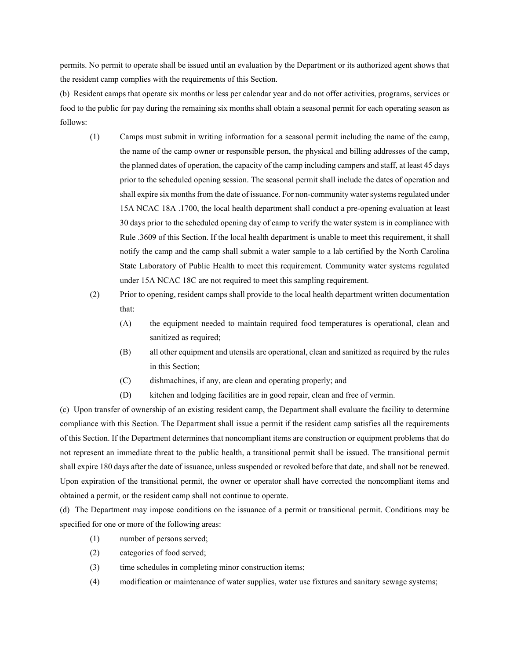permits. No permit to operate shall be issued until an evaluation by the Department or its authorized agent shows that the resident camp complies with the requirements of this Section.

(b) Resident camps that operate six months or less per calendar year and do not offer activities, programs, services or food to the public for pay during the remaining six months shall obtain a seasonal permit for each operating season as follows:

- (1) Camps must submit in writing information for a seasonal permit including the name of the camp, the name of the camp owner or responsible person, the physical and billing addresses of the camp, the planned dates of operation, the capacity of the camp including campers and staff, at least 45 days prior to the scheduled opening session. The seasonal permit shall include the dates of operation and shall expire six months from the date of issuance. For non-community water systems regulated under 15A NCAC 18A .1700, the local health department shall conduct a pre-opening evaluation at least 30 days prior to the scheduled opening day of camp to verify the water system is in compliance with Rule .3609 of this Section. If the local health department is unable to meet this requirement, it shall notify the camp and the camp shall submit a water sample to a lab certified by the North Carolina State Laboratory of Public Health to meet this requirement. Community water systems regulated under 15A NCAC 18C are not required to meet this sampling requirement.
- (2) Prior to opening, resident camps shall provide to the local health department written documentation that:
	- (A) the equipment needed to maintain required food temperatures is operational, clean and sanitized as required;
	- (B) all other equipment and utensils are operational, clean and sanitized as required by the rules in this Section;
	- (C) dishmachines, if any, are clean and operating properly; and
	- (D) kitchen and lodging facilities are in good repair, clean and free of vermin.

(c) Upon transfer of ownership of an existing resident camp, the Department shall evaluate the facility to determine compliance with this Section. The Department shall issue a permit if the resident camp satisfies all the requirements of this Section. If the Department determines that noncompliant items are construction or equipment problems that do not represent an immediate threat to the public health, a transitional permit shall be issued. The transitional permit shall expire 180 days after the date of issuance, unless suspended or revoked before that date, and shall not be renewed. Upon expiration of the transitional permit, the owner or operator shall have corrected the noncompliant items and obtained a permit, or the resident camp shall not continue to operate.

(d) The Department may impose conditions on the issuance of a permit or transitional permit. Conditions may be specified for one or more of the following areas:

- (1) number of persons served;
- (2) categories of food served;
- (3) time schedules in completing minor construction items;
- (4) modification or maintenance of water supplies, water use fixtures and sanitary sewage systems;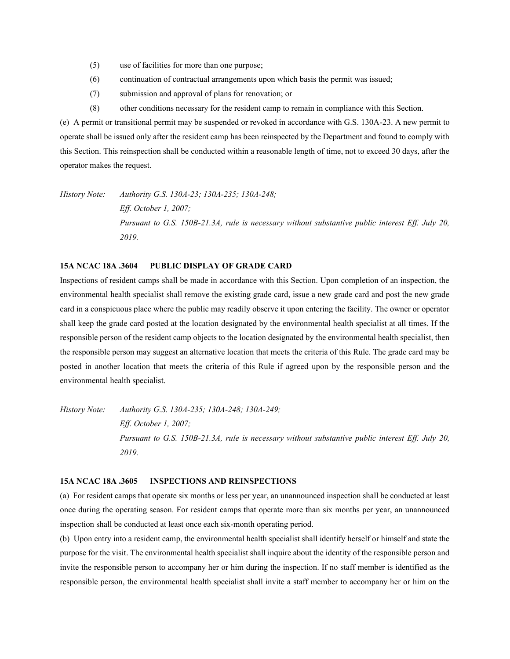- (5) use of facilities for more than one purpose;
- (6) continuation of contractual arrangements upon which basis the permit was issued;
- (7) submission and approval of plans for renovation; or
- (8) other conditions necessary for the resident camp to remain in compliance with this Section.

(e) A permit or transitional permit may be suspended or revoked in accordance with G.S. 130A-23. A new permit to operate shall be issued only after the resident camp has been reinspected by the Department and found to comply with this Section. This reinspection shall be conducted within a reasonable length of time, not to exceed 30 days, after the operator makes the request.

*History Note: Authority G.S. 130A-23; 130A-235; 130A-248; Eff. October 1, 2007; Pursuant to G.S. 150B-21.3A, rule is necessary without substantive public interest Eff. July 20, 2019.*

# **15A NCAC 18A .3604 PUBLIC DISPLAY OF GRADE CARD**

Inspections of resident camps shall be made in accordance with this Section. Upon completion of an inspection, the environmental health specialist shall remove the existing grade card, issue a new grade card and post the new grade card in a conspicuous place where the public may readily observe it upon entering the facility. The owner or operator shall keep the grade card posted at the location designated by the environmental health specialist at all times. If the responsible person of the resident camp objects to the location designated by the environmental health specialist, then the responsible person may suggest an alternative location that meets the criteria of this Rule. The grade card may be posted in another location that meets the criteria of this Rule if agreed upon by the responsible person and the environmental health specialist.

*History Note: Authority G.S. 130A-235; 130A-248; 130A-249; Eff. October 1, 2007; Pursuant to G.S. 150B-21.3A, rule is necessary without substantive public interest Eff. July 20, 2019.*

# **15A NCAC 18A .3605 INSPECTIONS AND REINSPECTIONS**

(a) For resident camps that operate six months or less per year, an unannounced inspection shall be conducted at least once during the operating season. For resident camps that operate more than six months per year, an unannounced inspection shall be conducted at least once each six-month operating period.

(b) Upon entry into a resident camp, the environmental health specialist shall identify herself or himself and state the purpose for the visit. The environmental health specialist shall inquire about the identity of the responsible person and invite the responsible person to accompany her or him during the inspection. If no staff member is identified as the responsible person, the environmental health specialist shall invite a staff member to accompany her or him on the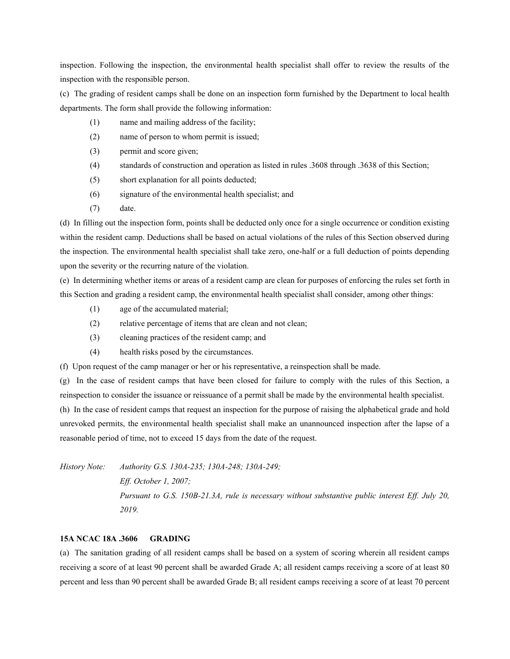inspection. Following the inspection, the environmental health specialist shall offer to review the results of the inspection with the responsible person.

(c) The grading of resident camps shall be done on an inspection form furnished by the Department to local health departments. The form shall provide the following information:

- (1) name and mailing address of the facility;
- (2) name of person to whom permit is issued;
- (3) permit and score given;
- (4) standards of construction and operation as listed in rules .3608 through .3638 of this Section;
- (5) short explanation for all points deducted;
- (6) signature of the environmental health specialist; and
- (7) date.

(d) In filling out the inspection form, points shall be deducted only once for a single occurrence or condition existing within the resident camp. Deductions shall be based on actual violations of the rules of this Section observed during the inspection. The environmental health specialist shall take zero, one-half or a full deduction of points depending upon the severity or the recurring nature of the violation.

(e) In determining whether items or areas of a resident camp are clean for purposes of enforcing the rules set forth in this Section and grading a resident camp, the environmental health specialist shall consider, among other things:

- (1) age of the accumulated material;
- (2) relative percentage of items that are clean and not clean;
- (3) cleaning practices of the resident camp; and
- (4) health risks posed by the circumstances.

(f) Upon request of the camp manager or her or his representative, a reinspection shall be made.

(g) In the case of resident camps that have been closed for failure to comply with the rules of this Section, a reinspection to consider the issuance or reissuance of a permit shall be made by the environmental health specialist.

(h) In the case of resident camps that request an inspection for the purpose of raising the alphabetical grade and hold unrevoked permits, the environmental health specialist shall make an unannounced inspection after the lapse of a reasonable period of time, not to exceed 15 days from the date of the request.

*History Note: Authority G.S. 130A-235; 130A-248; 130A-249; Eff. October 1, 2007; Pursuant to G.S. 150B-21.3A, rule is necessary without substantive public interest Eff. July 20, 2019.*

## **15A NCAC 18A .3606 GRADING**

(a) The sanitation grading of all resident camps shall be based on a system of scoring wherein all resident camps receiving a score of at least 90 percent shall be awarded Grade A; all resident camps receiving a score of at least 80 percent and less than 90 percent shall be awarded Grade B; all resident camps receiving a score of at least 70 percent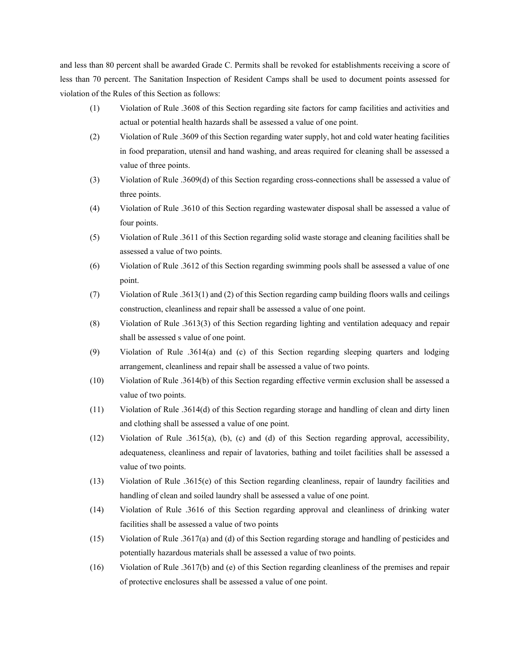and less than 80 percent shall be awarded Grade C. Permits shall be revoked for establishments receiving a score of less than 70 percent. The Sanitation Inspection of Resident Camps shall be used to document points assessed for violation of the Rules of this Section as follows:

- (1) Violation of Rule .3608 of this Section regarding site factors for camp facilities and activities and actual or potential health hazards shall be assessed a value of one point.
- (2) Violation of Rule .3609 of this Section regarding water supply, hot and cold water heating facilities in food preparation, utensil and hand washing, and areas required for cleaning shall be assessed a value of three points.
- (3) Violation of Rule .3609(d) of this Section regarding cross-connections shall be assessed a value of three points.
- (4) Violation of Rule .3610 of this Section regarding wastewater disposal shall be assessed a value of four points.
- (5) Violation of Rule .3611 of this Section regarding solid waste storage and cleaning facilities shall be assessed a value of two points.
- (6) Violation of Rule .3612 of this Section regarding swimming pools shall be assessed a value of one point.
- (7) Violation of Rule .3613(1) and (2) of this Section regarding camp building floors walls and ceilings construction, cleanliness and repair shall be assessed a value of one point.
- (8) Violation of Rule .3613(3) of this Section regarding lighting and ventilation adequacy and repair shall be assessed s value of one point.
- (9) Violation of Rule .3614(a) and (c) of this Section regarding sleeping quarters and lodging arrangement, cleanliness and repair shall be assessed a value of two points.
- (10) Violation of Rule .3614(b) of this Section regarding effective vermin exclusion shall be assessed a value of two points.
- (11) Violation of Rule .3614(d) of this Section regarding storage and handling of clean and dirty linen and clothing shall be assessed a value of one point.
- (12) Violation of Rule .3615(a), (b), (c) and (d) of this Section regarding approval, accessibility, adequateness, cleanliness and repair of lavatories, bathing and toilet facilities shall be assessed a value of two points.
- (13) Violation of Rule .3615(e) of this Section regarding cleanliness, repair of laundry facilities and handling of clean and soiled laundry shall be assessed a value of one point.
- (14) Violation of Rule .3616 of this Section regarding approval and cleanliness of drinking water facilities shall be assessed a value of two points
- (15) Violation of Rule .3617(a) and (d) of this Section regarding storage and handling of pesticides and potentially hazardous materials shall be assessed a value of two points.
- (16) Violation of Rule .3617(b) and (e) of this Section regarding cleanliness of the premises and repair of protective enclosures shall be assessed a value of one point.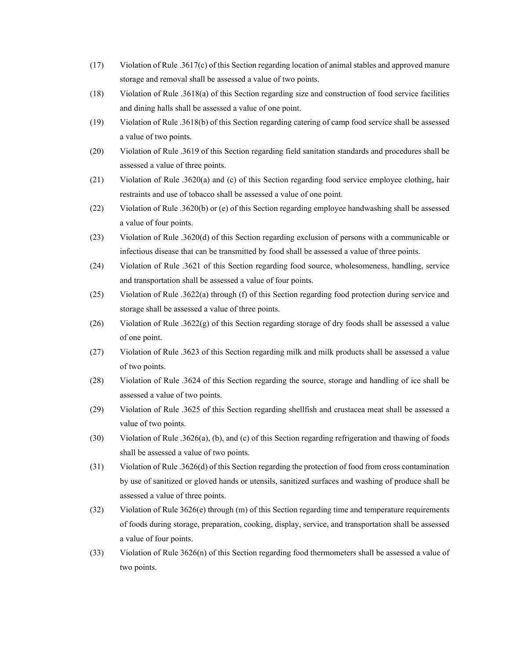- (17) Violation of Rule .3617(c) of this Section regarding location of animal stables and approved manure storage and removal shall be assessed a value of two points.
- (18) Violation of Rule .3618(a) of this Section regarding size and construction of food service facilities and dining halls shall be assessed a value of one point.
- (19) Violation of Rule .3618(b) of this Section regarding catering of camp food service shall be assessed a value of two points.
- (20) Violation of Rule .3619 of this Section regarding field sanitation standards and procedures shall be assessed a value of three points.
- (21) Violation of Rule .3620(a) and (c) of this Section regarding food service employee clothing, hair restraints and use of tobacco shall be assessed a value of one point.
- (22) Violation of Rule .3620(b) or (e) of this Section regarding employee handwashing shall be assessed a value of four points.
- (23) Violation of Rule .3620(d) of this Section regarding exclusion of persons with a communicable or infectious disease that can be transmitted by food shall be assessed a value of three points.
- (24) Violation of Rule .3621 of this Section regarding food source, wholesomeness, handling, service and transportation shall be assessed a value of four points.
- (25) Violation of Rule .3622(a) through (f) of this Section regarding food protection during service and storage shall be assessed a value of three points.
- (26) Violation of Rule .3622(g) of this Section regarding storage of dry foods shall be assessed a value of one point.
- (27) Violation of Rule .3623 of this Section regarding milk and milk products shall be assessed a value of two points.
- (28) Violation of Rule .3624 of this Section regarding the source, storage and handling of ice shall be assessed a value of two points.
- (29) Violation of Rule .3625 of this Section regarding shellfish and crustacea meat shall be assessed a value of two points.
- (30) Violation of Rule .3626(a), (b), and (c) of this Section regarding refrigeration and thawing of foods shall be assessed a value of two points.
- (31) Violation of Rule .3626(d) of this Section regarding the protection of food from cross contamination by use of sanitized or gloved hands or utensils, sanitized surfaces and washing of produce shall be assessed a value of three points.
- (32) Violation of Rule 3626(e) through (m) of this Section regarding time and temperature requirements of foods during storage, preparation, cooking, display, service, and transportation shall be assessed a value of four points.
- (33) Violation of Rule 3626(n) of this Section regarding food thermometers shall be assessed a value of two points.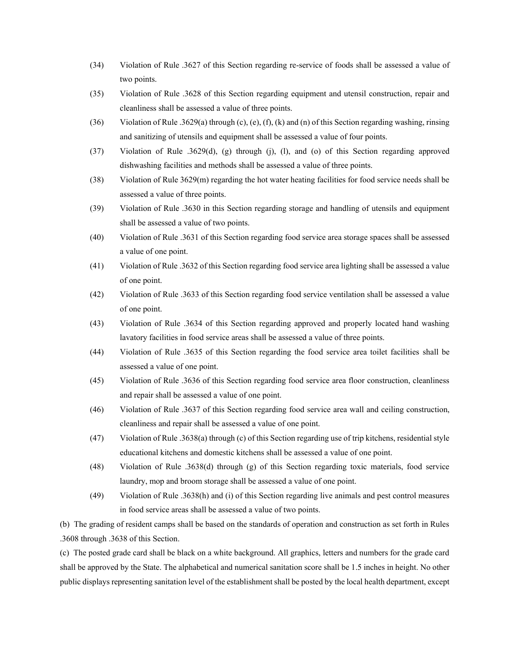- (34) Violation of Rule .3627 of this Section regarding re-service of foods shall be assessed a value of two points.
- (35) Violation of Rule .3628 of this Section regarding equipment and utensil construction, repair and cleanliness shall be assessed a value of three points.
- (36) Violation of Rule .3629(a) through (c), (e), (f), (k) and (n) of this Section regarding washing, rinsing and sanitizing of utensils and equipment shall be assessed a value of four points.
- (37) Violation of Rule .3629(d), (g) through (j), (l), and (o) of this Section regarding approved dishwashing facilities and methods shall be assessed a value of three points.
- (38) Violation of Rule 3629(m) regarding the hot water heating facilities for food service needs shall be assessed a value of three points.
- (39) Violation of Rule .3630 in this Section regarding storage and handling of utensils and equipment shall be assessed a value of two points.
- (40) Violation of Rule .3631 of this Section regarding food service area storage spaces shall be assessed a value of one point.
- (41) Violation of Rule .3632 of this Section regarding food service area lighting shall be assessed a value of one point.
- (42) Violation of Rule .3633 of this Section regarding food service ventilation shall be assessed a value of one point.
- (43) Violation of Rule .3634 of this Section regarding approved and properly located hand washing lavatory facilities in food service areas shall be assessed a value of three points.
- (44) Violation of Rule .3635 of this Section regarding the food service area toilet facilities shall be assessed a value of one point.
- (45) Violation of Rule .3636 of this Section regarding food service area floor construction, cleanliness and repair shall be assessed a value of one point.
- (46) Violation of Rule .3637 of this Section regarding food service area wall and ceiling construction, cleanliness and repair shall be assessed a value of one point.
- (47) Violation of Rule .3638(a) through (c) of this Section regarding use of trip kitchens, residential style educational kitchens and domestic kitchens shall be assessed a value of one point.
- (48) Violation of Rule .3638(d) through (g) of this Section regarding toxic materials, food service laundry, mop and broom storage shall be assessed a value of one point.
- (49) Violation of Rule .3638(h) and (i) of this Section regarding live animals and pest control measures in food service areas shall be assessed a value of two points.

(b) The grading of resident camps shall be based on the standards of operation and construction as set forth in Rules .3608 through .3638 of this Section.

(c) The posted grade card shall be black on a white background. All graphics, letters and numbers for the grade card shall be approved by the State. The alphabetical and numerical sanitation score shall be 1.5 inches in height. No other public displays representing sanitation level of the establishment shall be posted by the local health department, except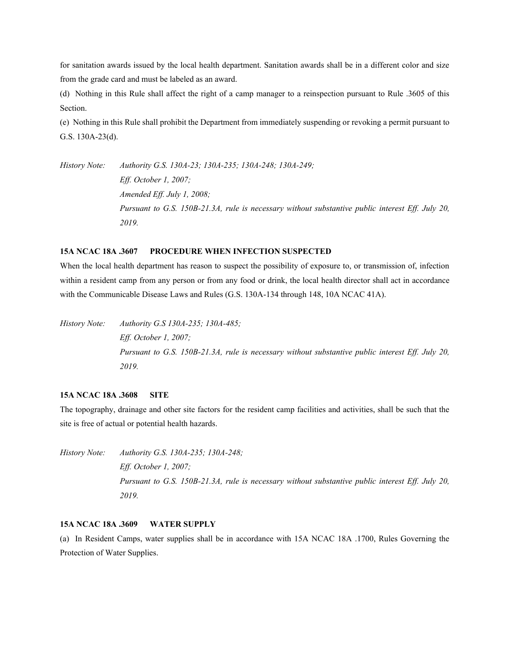for sanitation awards issued by the local health department. Sanitation awards shall be in a different color and size from the grade card and must be labeled as an award.

(d) Nothing in this Rule shall affect the right of a camp manager to a reinspection pursuant to Rule .3605 of this Section.

(e) Nothing in this Rule shall prohibit the Department from immediately suspending or revoking a permit pursuant to G.S. 130A-23(d).

*History Note: Authority G.S. 130A-23; 130A-235; 130A-248; 130A-249; Eff. October 1, 2007; Amended Eff. July 1, 2008; Pursuant to G.S. 150B-21.3A, rule is necessary without substantive public interest Eff. July 20, 2019.*

## **15A NCAC 18A .3607 PROCEDURE WHEN INFECTION SUSPECTED**

When the local health department has reason to suspect the possibility of exposure to, or transmission of, infection within a resident camp from any person or from any food or drink, the local health director shall act in accordance with the Communicable Disease Laws and Rules (G.S. 130A-134 through 148, 10A NCAC 41A).

*History Note: Authority G.S 130A-235; 130A-485; Eff. October 1, 2007; Pursuant to G.S. 150B-21.3A, rule is necessary without substantive public interest Eff. July 20, 2019.*

## **15A NCAC 18A .3608 SITE**

The topography, drainage and other site factors for the resident camp facilities and activities, shall be such that the site is free of actual or potential health hazards.

*History Note: Authority G.S. 130A-235; 130A-248; Eff. October 1, 2007; Pursuant to G.S. 150B-21.3A, rule is necessary without substantive public interest Eff. July 20, 2019.*

# **15A NCAC 18A .3609 WATER SUPPLY**

(a) In Resident Camps, water supplies shall be in accordance with 15A NCAC 18A .1700, Rules Governing the Protection of Water Supplies.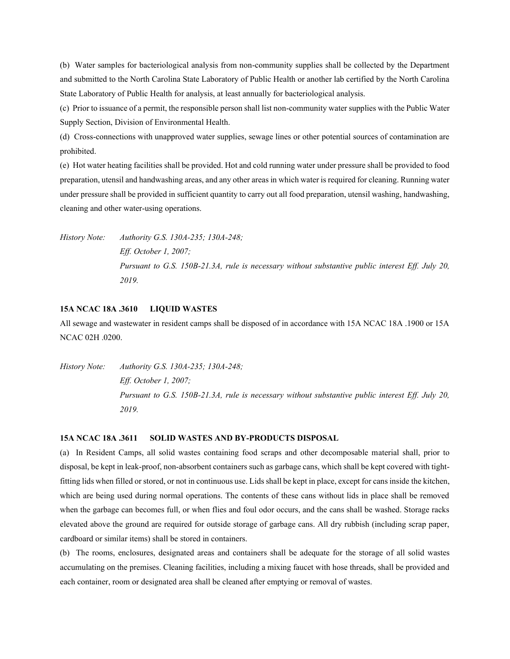(b) Water samples for bacteriological analysis from non-community supplies shall be collected by the Department and submitted to the North Carolina State Laboratory of Public Health or another lab certified by the North Carolina State Laboratory of Public Health for analysis, at least annually for bacteriological analysis.

(c) Prior to issuance of a permit, the responsible person shall list non-community water supplies with the Public Water Supply Section, Division of Environmental Health.

(d) Cross-connections with unapproved water supplies, sewage lines or other potential sources of contamination are prohibited.

(e) Hot water heating facilities shall be provided. Hot and cold running water under pressure shall be provided to food preparation, utensil and handwashing areas, and any other areas in which water is required for cleaning. Running water under pressure shall be provided in sufficient quantity to carry out all food preparation, utensil washing, handwashing, cleaning and other water-using operations.

*History Note: Authority G.S. 130A-235; 130A-248; Eff. October 1, 2007; Pursuant to G.S. 150B-21.3A, rule is necessary without substantive public interest Eff. July 20, 2019.*

# **15A NCAC 18A .3610 LIQUID WASTES**

All sewage and wastewater in resident camps shall be disposed of in accordance with 15A NCAC 18A .1900 or 15A NCAC 02H .0200.

*History Note: Authority G.S. 130A-235; 130A-248; Eff. October 1, 2007; Pursuant to G.S. 150B-21.3A, rule is necessary without substantive public interest Eff. July 20, 2019.*

#### **15A NCAC 18A .3611 SOLID WASTES AND BY-PRODUCTS DISPOSAL**

(a) In Resident Camps, all solid wastes containing food scraps and other decomposable material shall, prior to disposal, be kept in leak-proof, non-absorbent containers such as garbage cans, which shall be kept covered with tightfitting lids when filled or stored, or not in continuous use. Lids shall be kept in place, except for cans inside the kitchen, which are being used during normal operations. The contents of these cans without lids in place shall be removed when the garbage can becomes full, or when flies and foul odor occurs, and the cans shall be washed. Storage racks elevated above the ground are required for outside storage of garbage cans. All dry rubbish (including scrap paper, cardboard or similar items) shall be stored in containers.

(b) The rooms, enclosures, designated areas and containers shall be adequate for the storage of all solid wastes accumulating on the premises. Cleaning facilities, including a mixing faucet with hose threads, shall be provided and each container, room or designated area shall be cleaned after emptying or removal of wastes.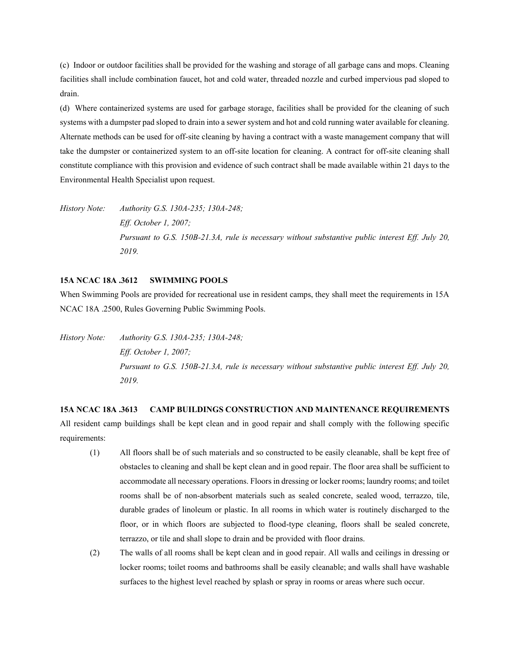(c) Indoor or outdoor facilities shall be provided for the washing and storage of all garbage cans and mops. Cleaning facilities shall include combination faucet, hot and cold water, threaded nozzle and curbed impervious pad sloped to drain.

(d) Where containerized systems are used for garbage storage, facilities shall be provided for the cleaning of such systems with a dumpster pad sloped to drain into a sewer system and hot and cold running water available for cleaning. Alternate methods can be used for off-site cleaning by having a contract with a waste management company that will take the dumpster or containerized system to an off-site location for cleaning. A contract for off-site cleaning shall constitute compliance with this provision and evidence of such contract shall be made available within 21 days to the Environmental Health Specialist upon request.

*History Note: Authority G.S. 130A-235; 130A-248; Eff. October 1, 2007; Pursuant to G.S. 150B-21.3A, rule is necessary without substantive public interest Eff. July 20, 2019.*

# **15A NCAC 18A .3612 SWIMMING POOLS**

When Swimming Pools are provided for recreational use in resident camps, they shall meet the requirements in 15A NCAC 18A .2500, Rules Governing Public Swimming Pools.

*History Note: Authority G.S. 130A-235; 130A-248; Eff. October 1, 2007; Pursuant to G.S. 150B-21.3A, rule is necessary without substantive public interest Eff. July 20, 2019.*

**15A NCAC 18A .3613 CAMP BUILDINGS CONSTRUCTION AND MAINTENANCE REQUIREMENTS** All resident camp buildings shall be kept clean and in good repair and shall comply with the following specific requirements:

- (1) All floors shall be of such materials and so constructed to be easily cleanable, shall be kept free of obstacles to cleaning and shall be kept clean and in good repair. The floor area shall be sufficient to accommodate all necessary operations. Floors in dressing or locker rooms; laundry rooms; and toilet rooms shall be of non-absorbent materials such as sealed concrete, sealed wood, terrazzo, tile, durable grades of linoleum or plastic. In all rooms in which water is routinely discharged to the floor, or in which floors are subjected to flood-type cleaning, floors shall be sealed concrete, terrazzo, or tile and shall slope to drain and be provided with floor drains.
- (2) The walls of all rooms shall be kept clean and in good repair. All walls and ceilings in dressing or locker rooms; toilet rooms and bathrooms shall be easily cleanable; and walls shall have washable surfaces to the highest level reached by splash or spray in rooms or areas where such occur.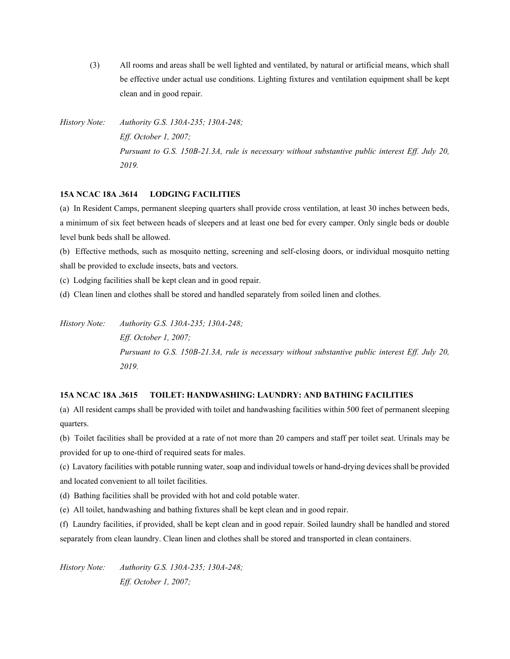(3) All rooms and areas shall be well lighted and ventilated, by natural or artificial means, which shall be effective under actual use conditions. Lighting fixtures and ventilation equipment shall be kept clean and in good repair.

*History Note: Authority G.S. 130A-235; 130A-248; Eff. October 1, 2007; Pursuant to G.S. 150B-21.3A, rule is necessary without substantive public interest Eff. July 20, 2019.*

## **15A NCAC 18A .3614 LODGING FACILITIES**

(a) In Resident Camps, permanent sleeping quarters shall provide cross ventilation, at least 30 inches between beds, a minimum of six feet between heads of sleepers and at least one bed for every camper. Only single beds or double level bunk beds shall be allowed.

(b) Effective methods, such as mosquito netting, screening and self-closing doors, or individual mosquito netting shall be provided to exclude insects, bats and vectors.

(c) Lodging facilities shall be kept clean and in good repair.

(d) Clean linen and clothes shall be stored and handled separately from soiled linen and clothes.

*History Note: Authority G.S. 130A-235; 130A-248; Eff. October 1, 2007; Pursuant to G.S. 150B-21.3A, rule is necessary without substantive public interest Eff. July 20, 2019.*

# **15A NCAC 18A .3615 TOILET: HANDWASHING: LAUNDRY: AND BATHING FACILITIES**

(a) All resident camps shall be provided with toilet and handwashing facilities within 500 feet of permanent sleeping quarters.

(b) Toilet facilities shall be provided at a rate of not more than 20 campers and staff per toilet seat. Urinals may be provided for up to one-third of required seats for males.

(c) Lavatory facilities with potable running water, soap and individual towels or hand-drying devices shall be provided and located convenient to all toilet facilities.

(d) Bathing facilities shall be provided with hot and cold potable water.

(e) All toilet, handwashing and bathing fixtures shall be kept clean and in good repair.

(f) Laundry facilities, if provided, shall be kept clean and in good repair. Soiled laundry shall be handled and stored separately from clean laundry. Clean linen and clothes shall be stored and transported in clean containers.

*History Note: Authority G.S. 130A-235; 130A-248; Eff. October 1, 2007;*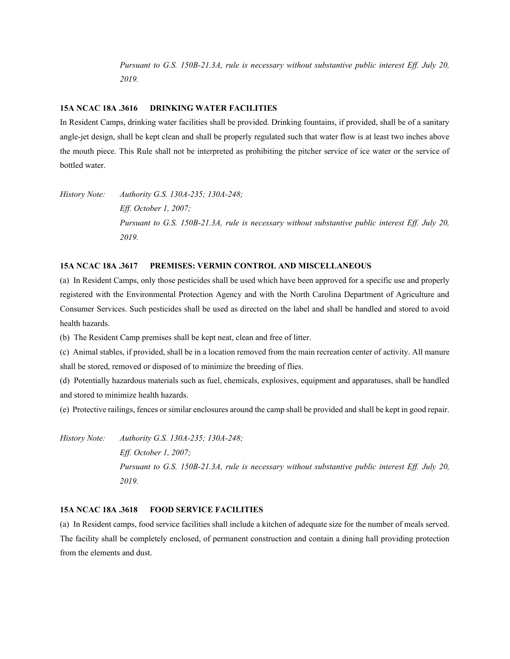*Pursuant to G.S. 150B-21.3A, rule is necessary without substantive public interest Eff. July 20, 2019.*

#### **15A NCAC 18A .3616 DRINKING WATER FACILITIES**

In Resident Camps, drinking water facilities shall be provided. Drinking fountains, if provided, shall be of a sanitary angle-jet design, shall be kept clean and shall be properly regulated such that water flow is at least two inches above the mouth piece. This Rule shall not be interpreted as prohibiting the pitcher service of ice water or the service of bottled water.

*History Note: Authority G.S. 130A-235; 130A-248; Eff. October 1, 2007; Pursuant to G.S. 150B-21.3A, rule is necessary without substantive public interest Eff. July 20, 2019.*

## **15A NCAC 18A .3617 PREMISES: VERMIN CONTROL AND MISCELLANEOUS**

(a) In Resident Camps, only those pesticides shall be used which have been approved for a specific use and properly registered with the Environmental Protection Agency and with the North Carolina Department of Agriculture and Consumer Services. Such pesticides shall be used as directed on the label and shall be handled and stored to avoid health hazards.

(b) The Resident Camp premises shall be kept neat, clean and free of litter.

(c) Animal stables, if provided, shall be in a location removed from the main recreation center of activity. All manure shall be stored, removed or disposed of to minimize the breeding of flies.

(d) Potentially hazardous materials such as fuel, chemicals, explosives, equipment and apparatuses, shall be handled and stored to minimize health hazards.

(e) Protective railings, fences or similar enclosures around the camp shall be provided and shall be kept in good repair.

*History Note: Authority G.S. 130A-235; 130A-248; Eff. October 1, 2007; Pursuant to G.S. 150B-21.3A, rule is necessary without substantive public interest Eff. July 20, 2019.*

# **15A NCAC 18A .3618 FOOD SERVICE FACILITIES**

(a) In Resident camps, food service facilities shall include a kitchen of adequate size for the number of meals served. The facility shall be completely enclosed, of permanent construction and contain a dining hall providing protection from the elements and dust.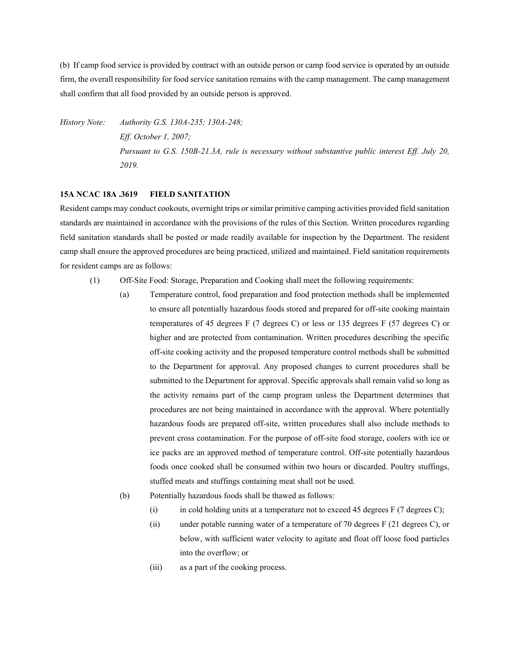(b) If camp food service is provided by contract with an outside person or camp food service is operated by an outside firm, the overall responsibility for food service sanitation remains with the camp management. The camp management shall confirm that all food provided by an outside person is approved.

*History Note: Authority G.S. 130A-235; 130A-248; Eff. October 1, 2007; Pursuant to G.S. 150B-21.3A, rule is necessary without substantive public interest Eff. July 20, 2019.*

## **15A NCAC 18A .3619 FIELD SANITATION**

Resident camps may conduct cookouts, overnight trips or similar primitive camping activities provided field sanitation standards are maintained in accordance with the provisions of the rules of this Section. Written procedures regarding field sanitation standards shall be posted or made readily available for inspection by the Department. The resident camp shall ensure the approved procedures are being practiced, utilized and maintained. Field sanitation requirements for resident camps are as follows:

- (1) Off-Site Food: Storage, Preparation and Cooking shall meet the following requirements:
	- (a) Temperature control, food preparation and food protection methods shall be implemented to ensure all potentially hazardous foods stored and prepared for off-site cooking maintain temperatures of 45 degrees F (7 degrees C) or less or 135 degrees F (57 degrees C) or higher and are protected from contamination. Written procedures describing the specific off-site cooking activity and the proposed temperature control methods shall be submitted to the Department for approval. Any proposed changes to current procedures shall be submitted to the Department for approval. Specific approvals shall remain valid so long as the activity remains part of the camp program unless the Department determines that procedures are not being maintained in accordance with the approval. Where potentially hazardous foods are prepared off-site, written procedures shall also include methods to prevent cross contamination. For the purpose of off-site food storage, coolers with ice or ice packs are an approved method of temperature control. Off-site potentially hazardous foods once cooked shall be consumed within two hours or discarded. Poultry stuffings, stuffed meats and stuffings containing meat shall not be used.
	- (b) Potentially hazardous foods shall be thawed as follows:
		- (i) in cold holding units at a temperature not to exceed 45 degrees  $F(7 \text{ degrees C})$ ;
		- (ii) under potable running water of a temperature of 70 degrees F (21 degrees C), or below, with sufficient water velocity to agitate and float off loose food particles into the overflow; or
		- (iii) as a part of the cooking process.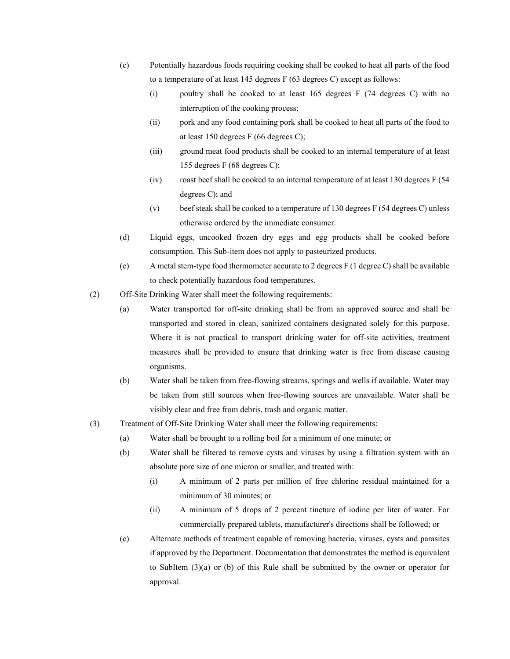- (c) Potentially hazardous foods requiring cooking shall be cooked to heat all parts of the food to a temperature of at least 145 degrees F (63 degrees C) except as follows:
	- (i) poultry shall be cooked to at least 165 degrees F (74 degrees C) with no interruption of the cooking process;
	- (ii) pork and any food containing pork shall be cooked to heat all parts of the food to at least 150 degrees F (66 degrees C);
	- (iii) ground meat food products shall be cooked to an internal temperature of at least 155 degrees F (68 degrees C);
	- (iv) roast beef shall be cooked to an internal temperature of at least 130 degrees F (54 degrees C); and
	- (v) beef steak shall be cooked to a temperature of 130 degrees F (54 degrees C) unless otherwise ordered by the immediate consumer.
- (d) Liquid eggs, uncooked frozen dry eggs and egg products shall be cooked before consumption. This Sub-item does not apply to pasteurized products.
- (e) A metal stem-type food thermometer accurate to 2 degrees F (1 degree C) shall be available to check potentially hazardous food temperatures.
- (2) Off-Site Drinking Water shall meet the following requirements:
	- (a) Water transported for off-site drinking shall be from an approved source and shall be transported and stored in clean, sanitized containers designated solely for this purpose. Where it is not practical to transport drinking water for off-site activities, treatment measures shall be provided to ensure that drinking water is free from disease causing organisms.
	- (b) Water shall be taken from free-flowing streams, springs and wells if available. Water may be taken from still sources when free-flowing sources are unavailable. Water shall be visibly clear and free from debris, trash and organic matter.
- (3) Treatment of Off-Site Drinking Water shall meet the following requirements:
	- (a) Water shall be brought to a rolling boil for a minimum of one minute; or
	- (b) Water shall be filtered to remove cysts and viruses by using a filtration system with an absolute pore size of one micron or smaller, and treated with:
		- (i) A minimum of 2 parts per million of free chlorine residual maintained for a minimum of 30 minutes; or
		- (ii) A minimum of 5 drops of 2 percent tincture of iodine per liter of water. For commercially prepared tablets, manufacturer's directions shall be followed; or
	- (c) Alternate methods of treatment capable of removing bacteria, viruses, cysts and parasites if approved by the Department. Documentation that demonstrates the method is equivalent to SubItem (3)(a) or (b) of this Rule shall be submitted by the owner or operator for approval.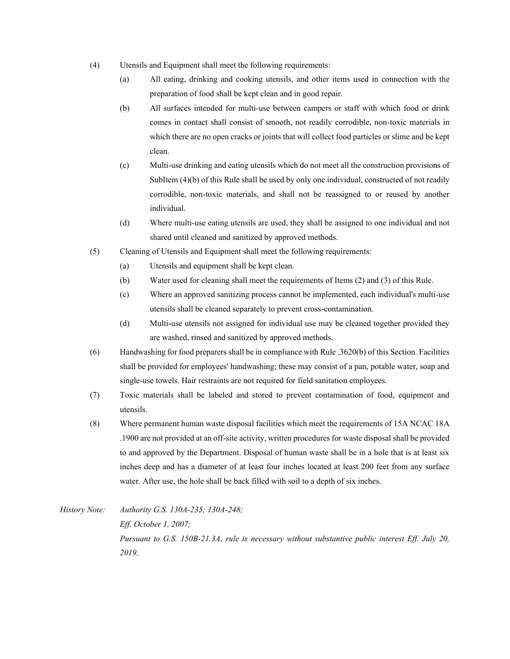- (4) Utensils and Equipment shall meet the following requirements:
	- (a) All eating, drinking and cooking utensils, and other items used in connection with the preparation of food shall be kept clean and in good repair.
	- (b) All surfaces intended for multi-use between campers or staff with which food or drink comes in contact shall consist of smooth, not readily corrodible, non-toxic materials in which there are no open cracks or joints that will collect food particles or slime and be kept clean.
	- (c) Multi-use drinking and eating utensils which do not meet all the construction provisions of SubItem (4)(b) of this Rule shall be used by only one individual, constructed of not readily corrodible, non-toxic materials, and shall not be reassigned to or reused by another individual.
	- (d) Where multi-use eating utensils are used, they shall be assigned to one individual and not shared until cleaned and sanitized by approved methods.
- (5) Cleaning of Utensils and Equipment shall meet the following requirements:
	- (a) Utensils and equipment shall be kept clean.
	- (b) Water used for cleaning shall meet the requirements of Items (2) and (3) of this Rule.
	- (c) Where an approved sanitizing process cannot be implemented, each individual's multi-use utensils shall be cleaned separately to prevent cross-contamination.
	- (d) Multi-use utensils not assigned for individual use may be cleaned together provided they are washed, rinsed and sanitized by approved methods.
- (6) Handwashing for food preparers shall be in compliance with Rule .3620(b) of this Section. Facilities shall be provided for employees' handwashing; these may consist of a pan, potable water, soap and single-use towels. Hair restraints are not required for field sanitation employees.
- (7) Toxic materials shall be labeled and stored to prevent contamination of food, equipment and utensils.
- (8) Where permanent human waste disposal facilities which meet the requirements of 15A NCAC 18A .1900 are not provided at an off-site activity, written procedures for waste disposal shall be provided to and approved by the Department. Disposal of human waste shall be in a hole that is at least six inches deep and has a diameter of at least four inches located at least 200 feet from any surface water. After use, the hole shall be back filled with soil to a depth of six inches.

*History Note: Authority G.S. 130A-235; 130A-248; Eff. October 1, 2007; Pursuant to G.S. 150B-21.3A, rule is necessary without substantive public interest Eff. July 20, 2019.*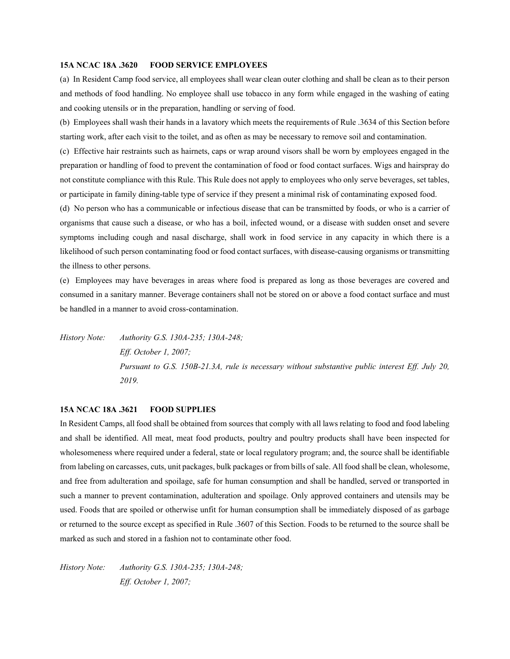#### **15A NCAC 18A .3620 FOOD SERVICE EMPLOYEES**

(a) In Resident Camp food service, all employees shall wear clean outer clothing and shall be clean as to their person and methods of food handling. No employee shall use tobacco in any form while engaged in the washing of eating and cooking utensils or in the preparation, handling or serving of food.

(b) Employees shall wash their hands in a lavatory which meets the requirements of Rule .3634 of this Section before starting work, after each visit to the toilet, and as often as may be necessary to remove soil and contamination.

(c) Effective hair restraints such as hairnets, caps or wrap around visors shall be worn by employees engaged in the preparation or handling of food to prevent the contamination of food or food contact surfaces. Wigs and hairspray do not constitute compliance with this Rule. This Rule does not apply to employees who only serve beverages, set tables, or participate in family dining-table type of service if they present a minimal risk of contaminating exposed food.

(d) No person who has a communicable or infectious disease that can be transmitted by foods, or who is a carrier of organisms that cause such a disease, or who has a boil, infected wound, or a disease with sudden onset and severe symptoms including cough and nasal discharge, shall work in food service in any capacity in which there is a likelihood of such person contaminating food or food contact surfaces, with disease-causing organisms or transmitting the illness to other persons.

(e) Employees may have beverages in areas where food is prepared as long as those beverages are covered and consumed in a sanitary manner. Beverage containers shall not be stored on or above a food contact surface and must be handled in a manner to avoid cross-contamination.

*History Note: Authority G.S. 130A-235; 130A-248; Eff. October 1, 2007; Pursuant to G.S. 150B-21.3A, rule is necessary without substantive public interest Eff. July 20, 2019.*

#### **15A NCAC 18A .3621 FOOD SUPPLIES**

In Resident Camps, all food shall be obtained from sources that comply with all laws relating to food and food labeling and shall be identified. All meat, meat food products, poultry and poultry products shall have been inspected for wholesomeness where required under a federal, state or local regulatory program; and, the source shall be identifiable from labeling on carcasses, cuts, unit packages, bulk packages or from bills of sale. All food shall be clean, wholesome, and free from adulteration and spoilage, safe for human consumption and shall be handled, served or transported in such a manner to prevent contamination, adulteration and spoilage. Only approved containers and utensils may be used. Foods that are spoiled or otherwise unfit for human consumption shall be immediately disposed of as garbage or returned to the source except as specified in Rule .3607 of this Section. Foods to be returned to the source shall be marked as such and stored in a fashion not to contaminate other food.

*History Note: Authority G.S. 130A-235; 130A-248; Eff. October 1, 2007;*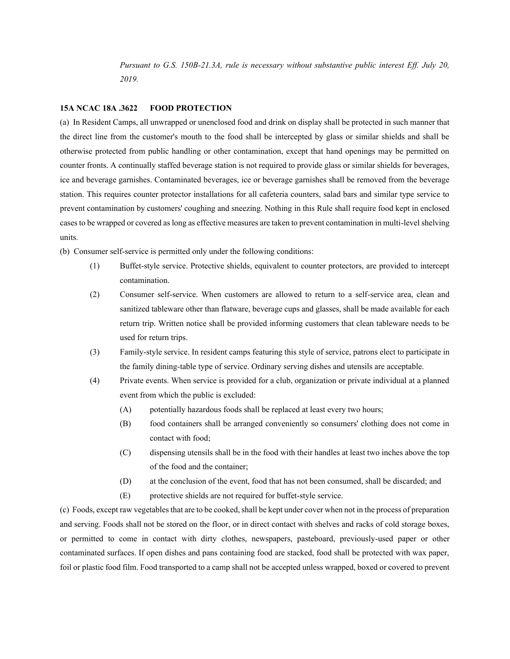*Pursuant to G.S. 150B-21.3A, rule is necessary without substantive public interest Eff. July 20, 2019.*

# **15A NCAC 18A .3622 FOOD PROTECTION**

(a) In Resident Camps, all unwrapped or unenclosed food and drink on display shall be protected in such manner that the direct line from the customer's mouth to the food shall be intercepted by glass or similar shields and shall be otherwise protected from public handling or other contamination, except that hand openings may be permitted on counter fronts. A continually staffed beverage station is not required to provide glass or similar shields for beverages, ice and beverage garnishes. Contaminated beverages, ice or beverage garnishes shall be removed from the beverage station. This requires counter protector installations for all cafeteria counters, salad bars and similar type service to prevent contamination by customers' coughing and sneezing. Nothing in this Rule shall require food kept in enclosed cases to be wrapped or covered as long as effective measures are taken to prevent contamination in multi-level shelving units.

(b) Consumer self-service is permitted only under the following conditions:

- (1) Buffet-style service. Protective shields, equivalent to counter protectors, are provided to intercept contamination.
- (2) Consumer self-service. When customers are allowed to return to a self-service area, clean and sanitized tableware other than flatware, beverage cups and glasses, shall be made available for each return trip. Written notice shall be provided informing customers that clean tableware needs to be used for return trips.
- (3) Family-style service. In resident camps featuring this style of service, patrons elect to participate in the family dining-table type of service. Ordinary serving dishes and utensils are acceptable.
- (4) Private events. When service is provided for a club, organization or private individual at a planned event from which the public is excluded:
	- (A) potentially hazardous foods shall be replaced at least every two hours;
	- (B) food containers shall be arranged conveniently so consumers' clothing does not come in contact with food;
	- (C) dispensing utensils shall be in the food with their handles at least two inches above the top of the food and the container;
	- (D) at the conclusion of the event, food that has not been consumed, shall be discarded; and
	- (E) protective shields are not required for buffet-style service.

(c) Foods, except raw vegetables that are to be cooked, shall be kept under cover when not in the process of preparation and serving. Foods shall not be stored on the floor, or in direct contact with shelves and racks of cold storage boxes, or permitted to come in contact with dirty clothes, newspapers, pasteboard, previously-used paper or other contaminated surfaces. If open dishes and pans containing food are stacked, food shall be protected with wax paper, foil or plastic food film. Food transported to a camp shall not be accepted unless wrapped, boxed or covered to prevent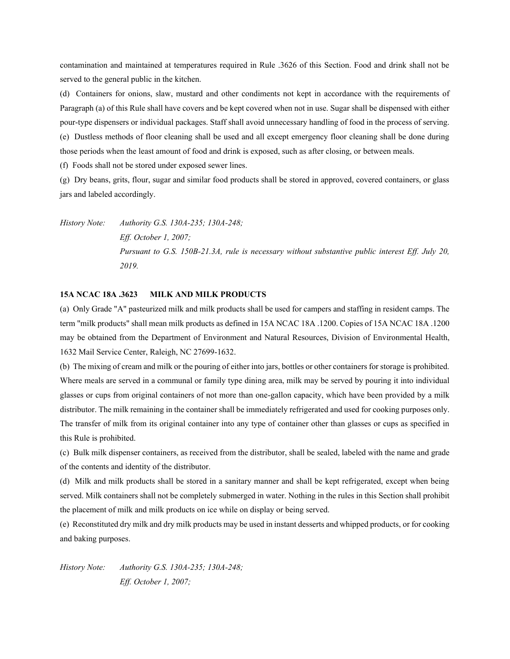contamination and maintained at temperatures required in Rule .3626 of this Section. Food and drink shall not be served to the general public in the kitchen.

(d) Containers for onions, slaw, mustard and other condiments not kept in accordance with the requirements of Paragraph (a) of this Rule shall have covers and be kept covered when not in use. Sugar shall be dispensed with either pour-type dispensers or individual packages. Staff shall avoid unnecessary handling of food in the process of serving. (e) Dustless methods of floor cleaning shall be used and all except emergency floor cleaning shall be done during those periods when the least amount of food and drink is exposed, such as after closing, or between meals.

(f) Foods shall not be stored under exposed sewer lines.

(g) Dry beans, grits, flour, sugar and similar food products shall be stored in approved, covered containers, or glass jars and labeled accordingly.

*History Note: Authority G.S. 130A-235; 130A-248; Eff. October 1, 2007; Pursuant to G.S. 150B-21.3A, rule is necessary without substantive public interest Eff. July 20, 2019.*

#### **15A NCAC 18A .3623 MILK AND MILK PRODUCTS**

(a) Only Grade "A" pasteurized milk and milk products shall be used for campers and staffing in resident camps. The term "milk products" shall mean milk products as defined in 15A NCAC 18A .1200. Copies of 15A NCAC 18A .1200 may be obtained from the Department of Environment and Natural Resources, Division of Environmental Health, 1632 Mail Service Center, Raleigh, NC 27699-1632.

(b) The mixing of cream and milk or the pouring of either into jars, bottles or other containers for storage is prohibited. Where meals are served in a communal or family type dining area, milk may be served by pouring it into individual glasses or cups from original containers of not more than one-gallon capacity, which have been provided by a milk distributor. The milk remaining in the container shall be immediately refrigerated and used for cooking purposes only. The transfer of milk from its original container into any type of container other than glasses or cups as specified in this Rule is prohibited.

(c) Bulk milk dispenser containers, as received from the distributor, shall be sealed, labeled with the name and grade of the contents and identity of the distributor.

(d) Milk and milk products shall be stored in a sanitary manner and shall be kept refrigerated, except when being served. Milk containers shall not be completely submerged in water. Nothing in the rules in this Section shall prohibit the placement of milk and milk products on ice while on display or being served.

(e) Reconstituted dry milk and dry milk products may be used in instant desserts and whipped products, or for cooking and baking purposes.

*History Note: Authority G.S. 130A-235; 130A-248; Eff. October 1, 2007;*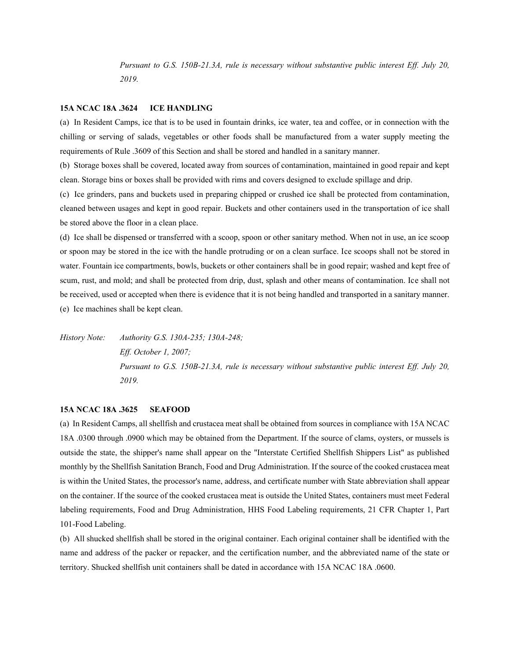*Pursuant to G.S. 150B-21.3A, rule is necessary without substantive public interest Eff. July 20, 2019.*

#### **15A NCAC 18A .3624 ICE HANDLING**

(a) In Resident Camps, ice that is to be used in fountain drinks, ice water, tea and coffee, or in connection with the chilling or serving of salads, vegetables or other foods shall be manufactured from a water supply meeting the requirements of Rule .3609 of this Section and shall be stored and handled in a sanitary manner.

(b) Storage boxes shall be covered, located away from sources of contamination, maintained in good repair and kept clean. Storage bins or boxes shall be provided with rims and covers designed to exclude spillage and drip.

(c) Ice grinders, pans and buckets used in preparing chipped or crushed ice shall be protected from contamination, cleaned between usages and kept in good repair. Buckets and other containers used in the transportation of ice shall be stored above the floor in a clean place.

(d) Ice shall be dispensed or transferred with a scoop, spoon or other sanitary method. When not in use, an ice scoop or spoon may be stored in the ice with the handle protruding or on a clean surface. Ice scoops shall not be stored in water. Fountain ice compartments, bowls, buckets or other containers shall be in good repair; washed and kept free of scum, rust, and mold; and shall be protected from drip, dust, splash and other means of contamination. Ice shall not be received, used or accepted when there is evidence that it is not being handled and transported in a sanitary manner. (e) Ice machines shall be kept clean.

*History Note: Authority G.S. 130A-235; 130A-248; Eff. October 1, 2007; Pursuant to G.S. 150B-21.3A, rule is necessary without substantive public interest Eff. July 20, 2019.*

# **15A NCAC 18A .3625 SEAFOOD**

(a) In Resident Camps, all shellfish and crustacea meat shall be obtained from sources in compliance with 15A NCAC 18A .0300 through .0900 which may be obtained from the Department. If the source of clams, oysters, or mussels is outside the state, the shipper's name shall appear on the "Interstate Certified Shellfish Shippers List" as published monthly by the Shellfish Sanitation Branch, Food and Drug Administration. If the source of the cooked crustacea meat is within the United States, the processor's name, address, and certificate number with State abbreviation shall appear on the container. If the source of the cooked crustacea meat is outside the United States, containers must meet Federal labeling requirements, Food and Drug Administration, HHS Food Labeling requirements, 21 CFR Chapter 1, Part 101-Food Labeling.

(b) All shucked shellfish shall be stored in the original container. Each original container shall be identified with the name and address of the packer or repacker, and the certification number, and the abbreviated name of the state or territory. Shucked shellfish unit containers shall be dated in accordance with 15A NCAC 18A .0600.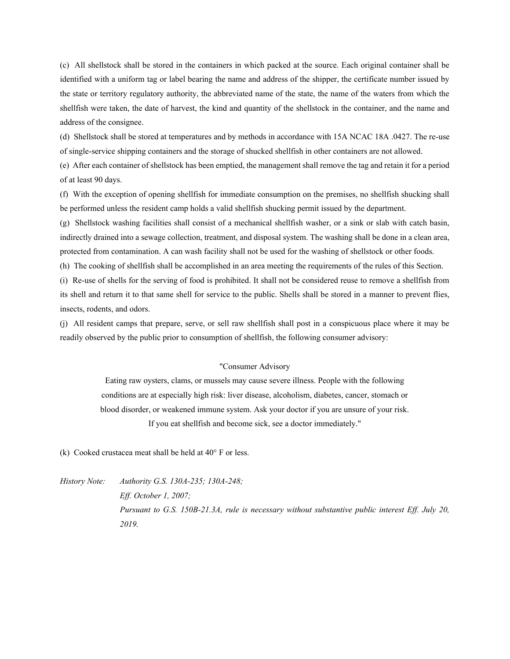(c) All shellstock shall be stored in the containers in which packed at the source. Each original container shall be identified with a uniform tag or label bearing the name and address of the shipper, the certificate number issued by the state or territory regulatory authority, the abbreviated name of the state, the name of the waters from which the shellfish were taken, the date of harvest, the kind and quantity of the shellstock in the container, and the name and address of the consignee.

(d) Shellstock shall be stored at temperatures and by methods in accordance with 15A NCAC 18A .0427. The re-use of single-service shipping containers and the storage of shucked shellfish in other containers are not allowed.

(e) After each container of shellstock has been emptied, the management shall remove the tag and retain it for a period of at least 90 days.

(f) With the exception of opening shellfish for immediate consumption on the premises, no shellfish shucking shall be performed unless the resident camp holds a valid shellfish shucking permit issued by the department.

(g) Shellstock washing facilities shall consist of a mechanical shellfish washer, or a sink or slab with catch basin, indirectly drained into a sewage collection, treatment, and disposal system. The washing shall be done in a clean area, protected from contamination. A can wash facility shall not be used for the washing of shellstock or other foods.

(h) The cooking of shellfish shall be accomplished in an area meeting the requirements of the rules of this Section.

(i) Re-use of shells for the serving of food is prohibited. It shall not be considered reuse to remove a shellfish from its shell and return it to that same shell for service to the public. Shells shall be stored in a manner to prevent flies, insects, rodents, and odors.

(j) All resident camps that prepare, serve, or sell raw shellfish shall post in a conspicuous place where it may be readily observed by the public prior to consumption of shellfish, the following consumer advisory:

#### "Consumer Advisory

Eating raw oysters, clams, or mussels may cause severe illness. People with the following conditions are at especially high risk: liver disease, alcoholism, diabetes, cancer, stomach or blood disorder, or weakened immune system. Ask your doctor if you are unsure of your risk. If you eat shellfish and become sick, see a doctor immediately."

(k) Cooked crustacea meat shall be held at  $40^{\circ}$  F or less.

*History Note: Authority G.S. 130A-235; 130A-248;*

*Eff. October 1, 2007; Pursuant to G.S. 150B-21.3A, rule is necessary without substantive public interest Eff. July 20, 2019.*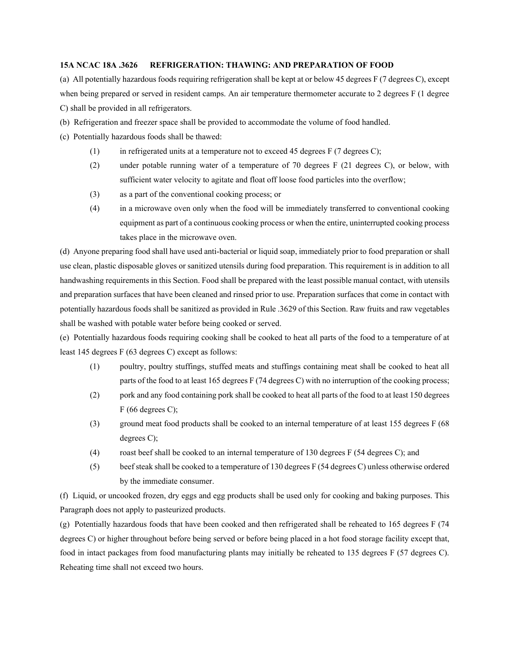## **15A NCAC 18A .3626 REFRIGERATION: THAWING: AND PREPARATION OF FOOD**

(a) All potentially hazardous foods requiring refrigeration shall be kept at or below 45 degrees F (7 degrees C), except when being prepared or served in resident camps. An air temperature thermometer accurate to 2 degrees F (1 degree C) shall be provided in all refrigerators.

- (b) Refrigeration and freezer space shall be provided to accommodate the volume of food handled.
- (c) Potentially hazardous foods shall be thawed:
	- (1) in refrigerated units at a temperature not to exceed 45 degrees F (7 degrees C);
	- (2) under potable running water of a temperature of 70 degrees F (21 degrees C), or below, with sufficient water velocity to agitate and float off loose food particles into the overflow;
	- (3) as a part of the conventional cooking process; or
	- (4) in a microwave oven only when the food will be immediately transferred to conventional cooking equipment as part of a continuous cooking process or when the entire, uninterrupted cooking process takes place in the microwave oven.

(d) Anyone preparing food shall have used anti-bacterial or liquid soap, immediately prior to food preparation or shall use clean, plastic disposable gloves or sanitized utensils during food preparation. This requirement is in addition to all handwashing requirements in this Section. Food shall be prepared with the least possible manual contact, with utensils and preparation surfaces that have been cleaned and rinsed prior to use. Preparation surfaces that come in contact with potentially hazardous foods shall be sanitized as provided in Rule .3629 of this Section. Raw fruits and raw vegetables shall be washed with potable water before being cooked or served.

(e) Potentially hazardous foods requiring cooking shall be cooked to heat all parts of the food to a temperature of at least 145 degrees F (63 degrees C) except as follows:

- (1) poultry, poultry stuffings, stuffed meats and stuffings containing meat shall be cooked to heat all parts of the food to at least 165 degrees F (74 degrees C) with no interruption of the cooking process;
- (2) pork and any food containing pork shall be cooked to heat all parts of the food to at least 150 degrees  $F(66$  degrees C);
- (3) ground meat food products shall be cooked to an internal temperature of at least 155 degrees F (68 degrees C);
- (4) roast beef shall be cooked to an internal temperature of 130 degrees F (54 degrees C); and
- (5) beef steak shall be cooked to a temperature of 130 degrees F (54 degrees C) unless otherwise ordered by the immediate consumer.

(f) Liquid, or uncooked frozen, dry eggs and egg products shall be used only for cooking and baking purposes. This Paragraph does not apply to pasteurized products.

(g) Potentially hazardous foods that have been cooked and then refrigerated shall be reheated to 165 degrees F (74 degrees C) or higher throughout before being served or before being placed in a hot food storage facility except that, food in intact packages from food manufacturing plants may initially be reheated to 135 degrees F (57 degrees C). Reheating time shall not exceed two hours.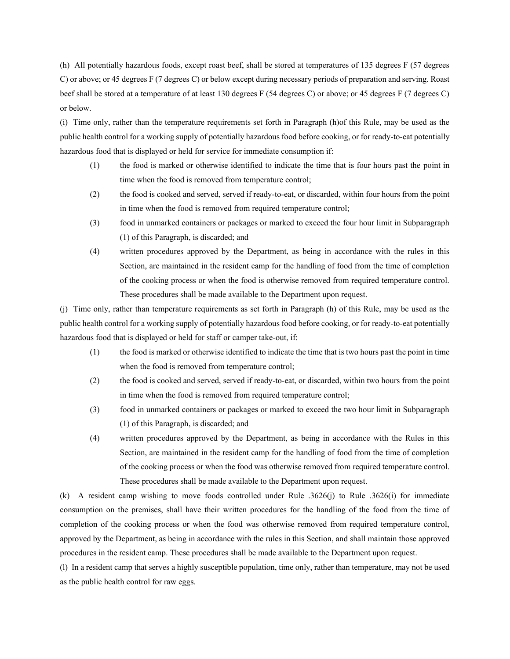(h) All potentially hazardous foods, except roast beef, shall be stored at temperatures of 135 degrees F (57 degrees C) or above; or 45 degrees F (7 degrees C) or below except during necessary periods of preparation and serving. Roast beef shall be stored at a temperature of at least 130 degrees F (54 degrees C) or above; or 45 degrees F (7 degrees C) or below.

(i) Time only, rather than the temperature requirements set forth in Paragraph (h)of this Rule, may be used as the public health control for a working supply of potentially hazardous food before cooking, or for ready-to-eat potentially hazardous food that is displayed or held for service for immediate consumption if:

- (1) the food is marked or otherwise identified to indicate the time that is four hours past the point in time when the food is removed from temperature control;
- (2) the food is cooked and served, served if ready-to-eat, or discarded, within four hours from the point in time when the food is removed from required temperature control;
- (3) food in unmarked containers or packages or marked to exceed the four hour limit in Subparagraph (1) of this Paragraph, is discarded; and
- (4) written procedures approved by the Department, as being in accordance with the rules in this Section, are maintained in the resident camp for the handling of food from the time of completion of the cooking process or when the food is otherwise removed from required temperature control. These procedures shall be made available to the Department upon request.

(j) Time only, rather than temperature requirements as set forth in Paragraph (h) of this Rule, may be used as the public health control for a working supply of potentially hazardous food before cooking, or for ready-to-eat potentially hazardous food that is displayed or held for staff or camper take-out, if:

- (1) the food is marked or otherwise identified to indicate the time that is two hours past the point in time when the food is removed from temperature control;
- (2) the food is cooked and served, served if ready-to-eat, or discarded, within two hours from the point in time when the food is removed from required temperature control;
- (3) food in unmarked containers or packages or marked to exceed the two hour limit in Subparagraph (1) of this Paragraph, is discarded; and
- (4) written procedures approved by the Department, as being in accordance with the Rules in this Section, are maintained in the resident camp for the handling of food from the time of completion of the cooking process or when the food was otherwise removed from required temperature control. These procedures shall be made available to the Department upon request.

(k) A resident camp wishing to move foods controlled under Rule .3626(j) to Rule .3626(i) for immediate consumption on the premises, shall have their written procedures for the handling of the food from the time of completion of the cooking process or when the food was otherwise removed from required temperature control, approved by the Department, as being in accordance with the rules in this Section, and shall maintain those approved procedures in the resident camp. These procedures shall be made available to the Department upon request.

(l) In a resident camp that serves a highly susceptible population, time only, rather than temperature, may not be used as the public health control for raw eggs.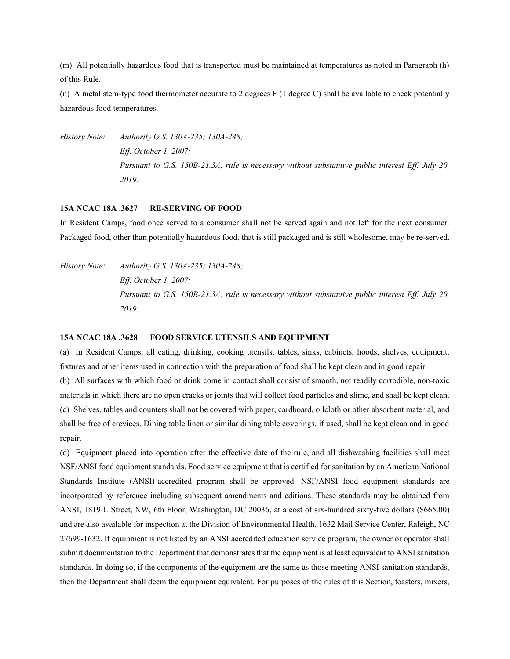(m) All potentially hazardous food that is transported must be maintained at temperatures as noted in Paragraph (h) of this Rule.

(n) A metal stem-type food thermometer accurate to 2 degrees F (1 degree C) shall be available to check potentially hazardous food temperatures.

*History Note: Authority G.S. 130A-235; 130A-248; Eff. October 1, 2007; Pursuant to G.S. 150B-21.3A, rule is necessary without substantive public interest Eff. July 20, 2019.*

#### **15A NCAC 18A .3627 RE-SERVING OF FOOD**

In Resident Camps, food once served to a consumer shall not be served again and not left for the next consumer. Packaged food, other than potentially hazardous food, that is still packaged and is still wholesome, may be re-served.

*History Note: Authority G.S. 130A-235; 130A-248; Eff. October 1, 2007; Pursuant to G.S. 150B-21.3A, rule is necessary without substantive public interest Eff. July 20, 2019.*

#### **15A NCAC 18A .3628 FOOD SERVICE UTENSILS AND EQUIPMENT**

(a) In Resident Camps, all eating, drinking, cooking utensils, tables, sinks, cabinets, hoods, shelves, equipment, fixtures and other items used in connection with the preparation of food shall be kept clean and in good repair. (b) All surfaces with which food or drink come in contact shall consist of smooth, not readily corrodible, non-toxic materials in which there are no open cracks or joints that will collect food particles and slime, and shall be kept clean. (c) Shelves, tables and counters shall not be covered with paper, cardboard, oilcloth or other absorbent material, and shall be free of crevices. Dining table linen or similar dining table coverings, if used, shall be kept clean and in good repair.

(d) Equipment placed into operation after the effective date of the rule, and all dishwashing facilities shall meet NSF/ANSI food equipment standards. Food service equipment that is certified for sanitation by an American National Standards Institute (ANSI)-accredited program shall be approved. NSF/ANSI food equipment standards are incorporated by reference including subsequent amendments and editions. These standards may be obtained from ANSI, 1819 L Street, NW, 6th Floor, Washington, DC 20036, at a cost of six-hundred sixty-five dollars (\$665.00) and are also available for inspection at the Division of Environmental Health, 1632 Mail Service Center, Raleigh, NC 27699-1632. If equipment is not listed by an ANSI accredited education service program, the owner or operator shall submit documentation to the Department that demonstrates that the equipment is at least equivalent to ANSI sanitation standards. In doing so, if the components of the equipment are the same as those meeting ANSI sanitation standards, then the Department shall deem the equipment equivalent. For purposes of the rules of this Section, toasters, mixers,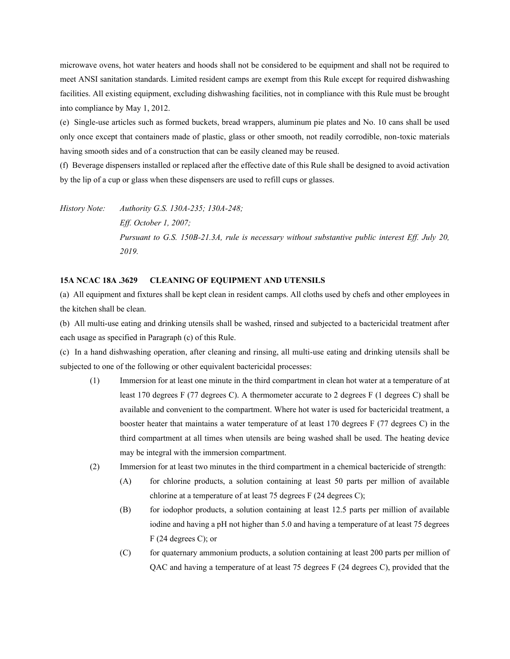microwave ovens, hot water heaters and hoods shall not be considered to be equipment and shall not be required to meet ANSI sanitation standards. Limited resident camps are exempt from this Rule except for required dishwashing facilities. All existing equipment, excluding dishwashing facilities, not in compliance with this Rule must be brought into compliance by May 1, 2012.

(e) Single-use articles such as formed buckets, bread wrappers, aluminum pie plates and No. 10 cans shall be used only once except that containers made of plastic, glass or other smooth, not readily corrodible, non-toxic materials having smooth sides and of a construction that can be easily cleaned may be reused.

(f) Beverage dispensers installed or replaced after the effective date of this Rule shall be designed to avoid activation by the lip of a cup or glass when these dispensers are used to refill cups or glasses.

*History Note: Authority G.S. 130A-235; 130A-248; Eff. October 1, 2007; Pursuant to G.S. 150B-21.3A, rule is necessary without substantive public interest Eff. July 20, 2019.*

#### **15A NCAC 18A .3629 CLEANING OF EQUIPMENT AND UTENSILS**

(a) All equipment and fixtures shall be kept clean in resident camps. All cloths used by chefs and other employees in the kitchen shall be clean.

(b) All multi-use eating and drinking utensils shall be washed, rinsed and subjected to a bactericidal treatment after each usage as specified in Paragraph (c) of this Rule.

(c) In a hand dishwashing operation, after cleaning and rinsing, all multi-use eating and drinking utensils shall be subjected to one of the following or other equivalent bactericidal processes:

- (1) Immersion for at least one minute in the third compartment in clean hot water at a temperature of at least 170 degrees F (77 degrees C). A thermometer accurate to 2 degrees F (1 degrees C) shall be available and convenient to the compartment. Where hot water is used for bactericidal treatment, a booster heater that maintains a water temperature of at least 170 degrees F (77 degrees C) in the third compartment at all times when utensils are being washed shall be used. The heating device may be integral with the immersion compartment.
- (2) Immersion for at least two minutes in the third compartment in a chemical bactericide of strength:
	- (A) for chlorine products, a solution containing at least 50 parts per million of available chlorine at a temperature of at least 75 degrees F (24 degrees C);
	- (B) for iodophor products, a solution containing at least 12.5 parts per million of available iodine and having a pH not higher than 5.0 and having a temperature of at least 75 degrees F (24 degrees C); or
	- (C) for quaternary ammonium products, a solution containing at least 200 parts per million of QAC and having a temperature of at least 75 degrees F (24 degrees C), provided that the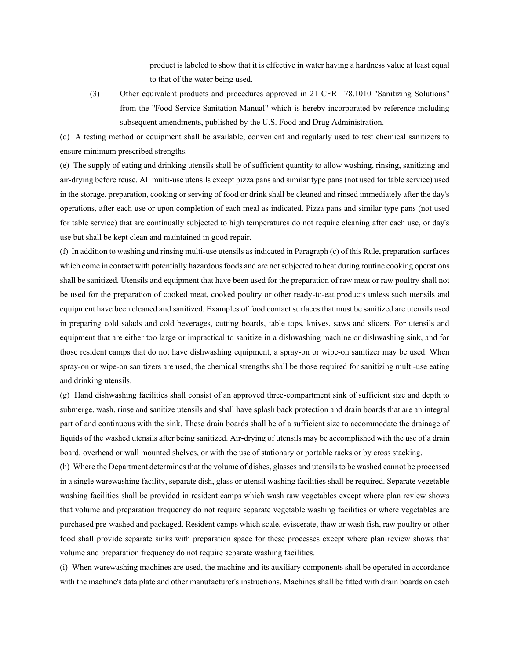product is labeled to show that it is effective in water having a hardness value at least equal to that of the water being used.

(3) Other equivalent products and procedures approved in 21 CFR 178.1010 "Sanitizing Solutions" from the "Food Service Sanitation Manual" which is hereby incorporated by reference including subsequent amendments, published by the U.S. Food and Drug Administration.

(d) A testing method or equipment shall be available, convenient and regularly used to test chemical sanitizers to ensure minimum prescribed strengths.

(e) The supply of eating and drinking utensils shall be of sufficient quantity to allow washing, rinsing, sanitizing and air-drying before reuse. All multi-use utensils except pizza pans and similar type pans (not used for table service) used in the storage, preparation, cooking or serving of food or drink shall be cleaned and rinsed immediately after the day's operations, after each use or upon completion of each meal as indicated. Pizza pans and similar type pans (not used for table service) that are continually subjected to high temperatures do not require cleaning after each use, or day's use but shall be kept clean and maintained in good repair.

(f) In addition to washing and rinsing multi-use utensils as indicated in Paragraph (c) of this Rule, preparation surfaces which come in contact with potentially hazardous foods and are not subjected to heat during routine cooking operations shall be sanitized. Utensils and equipment that have been used for the preparation of raw meat or raw poultry shall not be used for the preparation of cooked meat, cooked poultry or other ready-to-eat products unless such utensils and equipment have been cleaned and sanitized. Examples of food contact surfaces that must be sanitized are utensils used in preparing cold salads and cold beverages, cutting boards, table tops, knives, saws and slicers. For utensils and equipment that are either too large or impractical to sanitize in a dishwashing machine or dishwashing sink, and for those resident camps that do not have dishwashing equipment, a spray-on or wipe-on sanitizer may be used. When spray-on or wipe-on sanitizers are used, the chemical strengths shall be those required for sanitizing multi-use eating and drinking utensils.

(g) Hand dishwashing facilities shall consist of an approved three-compartment sink of sufficient size and depth to submerge, wash, rinse and sanitize utensils and shall have splash back protection and drain boards that are an integral part of and continuous with the sink. These drain boards shall be of a sufficient size to accommodate the drainage of liquids of the washed utensils after being sanitized. Air-drying of utensils may be accomplished with the use of a drain board, overhead or wall mounted shelves, or with the use of stationary or portable racks or by cross stacking.

(h) Where the Department determines that the volume of dishes, glasses and utensils to be washed cannot be processed in a single warewashing facility, separate dish, glass or utensil washing facilities shall be required. Separate vegetable washing facilities shall be provided in resident camps which wash raw vegetables except where plan review shows that volume and preparation frequency do not require separate vegetable washing facilities or where vegetables are purchased pre-washed and packaged. Resident camps which scale, eviscerate, thaw or wash fish, raw poultry or other food shall provide separate sinks with preparation space for these processes except where plan review shows that volume and preparation frequency do not require separate washing facilities.

(i) When warewashing machines are used, the machine and its auxiliary components shall be operated in accordance with the machine's data plate and other manufacturer's instructions. Machines shall be fitted with drain boards on each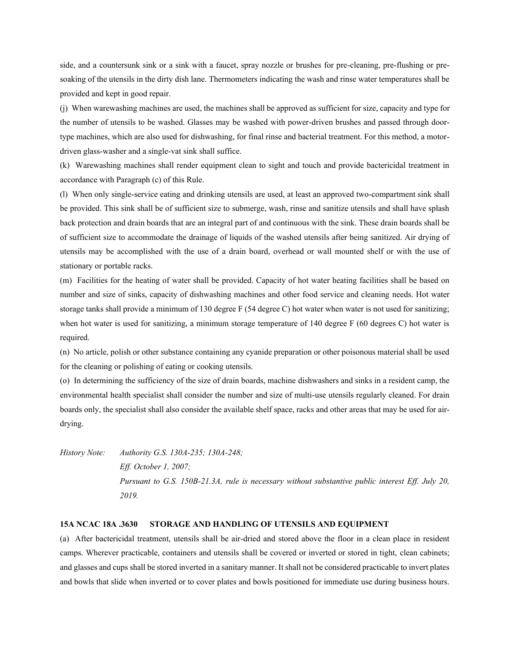side, and a countersunk sink or a sink with a faucet, spray nozzle or brushes for pre-cleaning, pre-flushing or presoaking of the utensils in the dirty dish lane. Thermometers indicating the wash and rinse water temperatures shall be provided and kept in good repair.

(j) When warewashing machines are used, the machines shall be approved as sufficient for size, capacity and type for the number of utensils to be washed. Glasses may be washed with power-driven brushes and passed through doortype machines, which are also used for dishwashing, for final rinse and bacterial treatment. For this method, a motordriven glass-washer and a single-vat sink shall suffice.

(k) Warewashing machines shall render equipment clean to sight and touch and provide bactericidal treatment in accordance with Paragraph (c) of this Rule.

(l) When only single-service eating and drinking utensils are used, at least an approved two-compartment sink shall be provided. This sink shall be of sufficient size to submerge, wash, rinse and sanitize utensils and shall have splash back protection and drain boards that are an integral part of and continuous with the sink. These drain boards shall be of sufficient size to accommodate the drainage of liquids of the washed utensils after being sanitized. Air drying of utensils may be accomplished with the use of a drain board, overhead or wall mounted shelf or with the use of stationary or portable racks.

(m) Facilities for the heating of water shall be provided. Capacity of hot water heating facilities shall be based on number and size of sinks, capacity of dishwashing machines and other food service and cleaning needs. Hot water storage tanks shall provide a minimum of 130 degree F (54 degree C) hot water when water is not used for sanitizing; when hot water is used for sanitizing, a minimum storage temperature of 140 degree F (60 degrees C) hot water is required.

(n) No article, polish or other substance containing any cyanide preparation or other poisonous material shall be used for the cleaning or polishing of eating or cooking utensils.

(o) In determining the sufficiency of the size of drain boards, machine dishwashers and sinks in a resident camp, the environmental health specialist shall consider the number and size of multi-use utensils regularly cleaned. For drain boards only, the specialist shall also consider the available shelf space, racks and other areas that may be used for airdrying.

*History Note: Authority G.S. 130A-235; 130A-248; Eff. October 1, 2007; Pursuant to G.S. 150B-21.3A, rule is necessary without substantive public interest Eff. July 20, 2019.*

#### **15A NCAC 18A .3630 STORAGE AND HANDLING OF UTENSILS AND EQUIPMENT**

(a) After bactericidal treatment, utensils shall be air-dried and stored above the floor in a clean place in resident camps. Wherever practicable, containers and utensils shall be covered or inverted or stored in tight, clean cabinets; and glasses and cups shall be stored inverted in a sanitary manner. It shall not be considered practicable to invert plates and bowls that slide when inverted or to cover plates and bowls positioned for immediate use during business hours.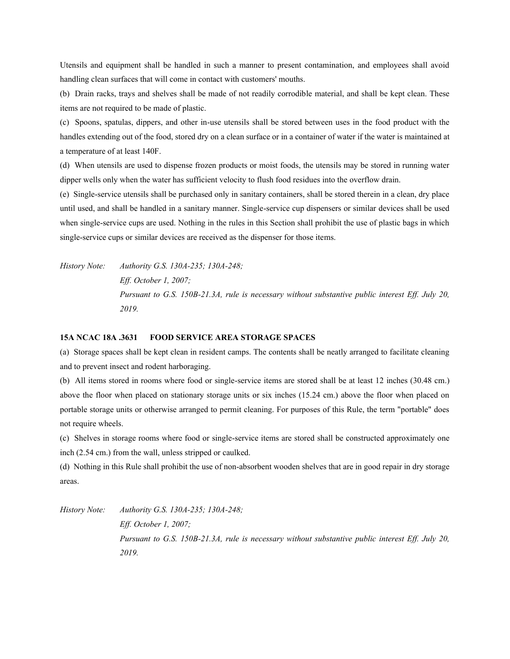Utensils and equipment shall be handled in such a manner to present contamination, and employees shall avoid handling clean surfaces that will come in contact with customers' mouths.

(b) Drain racks, trays and shelves shall be made of not readily corrodible material, and shall be kept clean. These items are not required to be made of plastic.

(c) Spoons, spatulas, dippers, and other in-use utensils shall be stored between uses in the food product with the handles extending out of the food, stored dry on a clean surface or in a container of water if the water is maintained at a temperature of at least 140F.

(d) When utensils are used to dispense frozen products or moist foods, the utensils may be stored in running water dipper wells only when the water has sufficient velocity to flush food residues into the overflow drain.

(e) Single-service utensils shall be purchased only in sanitary containers, shall be stored therein in a clean, dry place until used, and shall be handled in a sanitary manner. Single-service cup dispensers or similar devices shall be used when single-service cups are used. Nothing in the rules in this Section shall prohibit the use of plastic bags in which single-service cups or similar devices are received as the dispenser for those items.

*History Note: Authority G.S. 130A-235; 130A-248; Eff. October 1, 2007; Pursuant to G.S. 150B-21.3A, rule is necessary without substantive public interest Eff. July 20, 2019.*

### **15A NCAC 18A .3631 FOOD SERVICE AREA STORAGE SPACES**

(a) Storage spaces shall be kept clean in resident camps. The contents shall be neatly arranged to facilitate cleaning and to prevent insect and rodent harboraging.

(b) All items stored in rooms where food or single-service items are stored shall be at least 12 inches (30.48 cm.) above the floor when placed on stationary storage units or six inches (15.24 cm.) above the floor when placed on portable storage units or otherwise arranged to permit cleaning. For purposes of this Rule, the term "portable" does not require wheels.

(c) Shelves in storage rooms where food or single-service items are stored shall be constructed approximately one inch (2.54 cm.) from the wall, unless stripped or caulked.

(d) Nothing in this Rule shall prohibit the use of non-absorbent wooden shelves that are in good repair in dry storage areas.

*History Note: Authority G.S. 130A-235; 130A-248;*

*Eff. October 1, 2007; Pursuant to G.S. 150B-21.3A, rule is necessary without substantive public interest Eff. July 20, 2019.*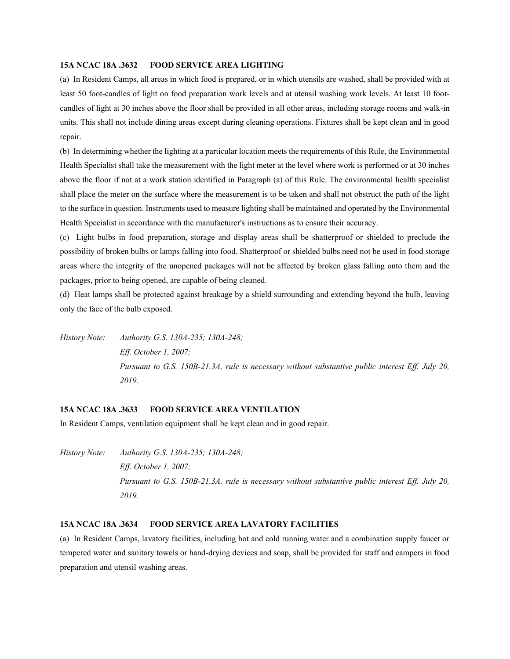## **15A NCAC 18A .3632 FOOD SERVICE AREA LIGHTING**

(a) In Resident Camps, all areas in which food is prepared, or in which utensils are washed, shall be provided with at least 50 foot-candles of light on food preparation work levels and at utensil washing work levels. At least 10 footcandles of light at 30 inches above the floor shall be provided in all other areas, including storage rooms and walk-in units. This shall not include dining areas except during cleaning operations. Fixtures shall be kept clean and in good repair.

(b) In determining whether the lighting at a particular location meets the requirements of this Rule, the Environmental Health Specialist shall take the measurement with the light meter at the level where work is performed or at 30 inches above the floor if not at a work station identified in Paragraph (a) of this Rule. The environmental health specialist shall place the meter on the surface where the measurement is to be taken and shall not obstruct the path of the light to the surface in question. Instruments used to measure lighting shall be maintained and operated by the Environmental Health Specialist in accordance with the manufacturer's instructions as to ensure their accuracy.

(c) Light bulbs in food preparation, storage and display areas shall be shatterproof or shielded to preclude the possibility of broken bulbs or lamps falling into food. Shatterproof or shielded bulbs need not be used in food storage areas where the integrity of the unopened packages will not be affected by broken glass falling onto them and the packages, prior to being opened, are capable of being cleaned.

(d) Heat lamps shall be protected against breakage by a shield surrounding and extending beyond the bulb, leaving only the face of the bulb exposed.

*History Note: Authority G.S. 130A-235; 130A-248; Eff. October 1, 2007; Pursuant to G.S. 150B-21.3A, rule is necessary without substantive public interest Eff. July 20, 2019.*

# **15A NCAC 18A .3633 FOOD SERVICE AREA VENTILATION**

In Resident Camps, ventilation equipment shall be kept clean and in good repair.

*History Note: Authority G.S. 130A-235; 130A-248; Eff. October 1, 2007; Pursuant to G.S. 150B-21.3A, rule is necessary without substantive public interest Eff. July 20, 2019.*

# **15A NCAC 18A .3634 FOOD SERVICE AREA LAVATORY FACILITIES**

(a) In Resident Camps, lavatory facilities, including hot and cold running water and a combination supply faucet or tempered water and sanitary towels or hand-drying devices and soap, shall be provided for staff and campers in food preparation and utensil washing areas.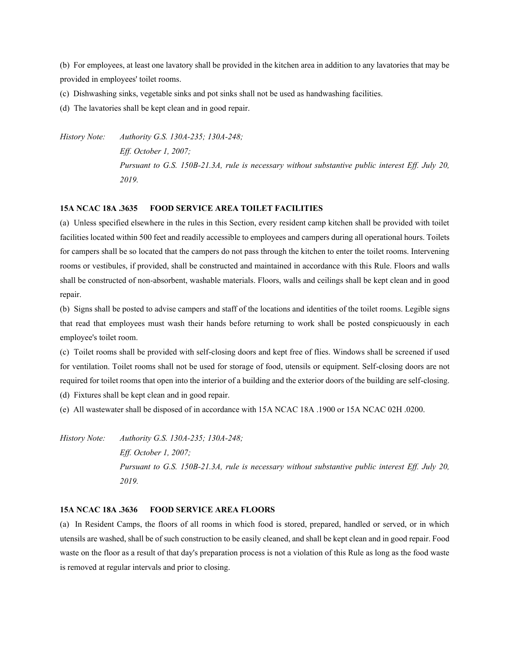(b) For employees, at least one lavatory shall be provided in the kitchen area in addition to any lavatories that may be provided in employees' toilet rooms.

- (c) Dishwashing sinks, vegetable sinks and pot sinks shall not be used as handwashing facilities.
- (d) The lavatories shall be kept clean and in good repair.

*History Note: Authority G.S. 130A-235; 130A-248; Eff. October 1, 2007; Pursuant to G.S. 150B-21.3A, rule is necessary without substantive public interest Eff. July 20, 2019.*

#### **15A NCAC 18A .3635 FOOD SERVICE AREA TOILET FACILITIES**

(a) Unless specified elsewhere in the rules in this Section, every resident camp kitchen shall be provided with toilet facilities located within 500 feet and readily accessible to employees and campers during all operational hours. Toilets for campers shall be so located that the campers do not pass through the kitchen to enter the toilet rooms. Intervening rooms or vestibules, if provided, shall be constructed and maintained in accordance with this Rule. Floors and walls shall be constructed of non-absorbent, washable materials. Floors, walls and ceilings shall be kept clean and in good repair.

(b) Signs shall be posted to advise campers and staff of the locations and identities of the toilet rooms. Legible signs that read that employees must wash their hands before returning to work shall be posted conspicuously in each employee's toilet room.

(c) Toilet rooms shall be provided with self-closing doors and kept free of flies. Windows shall be screened if used for ventilation. Toilet rooms shall not be used for storage of food, utensils or equipment. Self-closing doors are not required for toilet rooms that open into the interior of a building and the exterior doors of the building are self-closing.

(d) Fixtures shall be kept clean and in good repair.

(e) All wastewater shall be disposed of in accordance with 15A NCAC 18A .1900 or 15A NCAC 02H .0200.

*History Note: Authority G.S. 130A-235; 130A-248; Eff. October 1, 2007; Pursuant to G.S. 150B-21.3A, rule is necessary without substantive public interest Eff. July 20, 2019.*

#### **15A NCAC 18A .3636 FOOD SERVICE AREA FLOORS**

(a) In Resident Camps, the floors of all rooms in which food is stored, prepared, handled or served, or in which utensils are washed, shall be of such construction to be easily cleaned, and shall be kept clean and in good repair. Food waste on the floor as a result of that day's preparation process is not a violation of this Rule as long as the food waste is removed at regular intervals and prior to closing.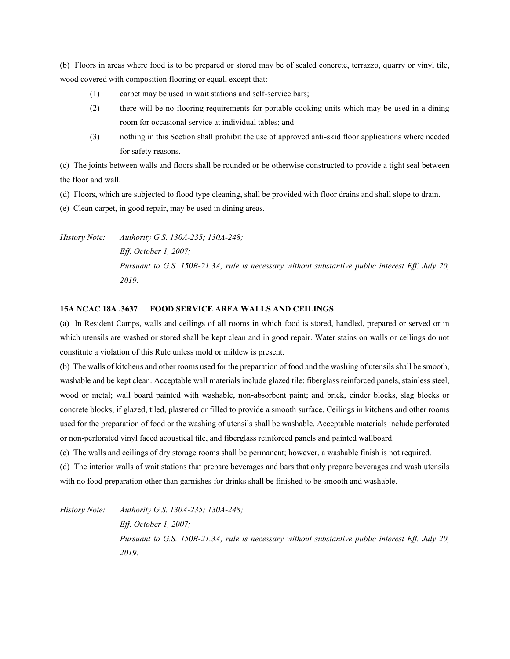(b) Floors in areas where food is to be prepared or stored may be of sealed concrete, terrazzo, quarry or vinyl tile, wood covered with composition flooring or equal, except that:

- (1) carpet may be used in wait stations and self-service bars;
- (2) there will be no flooring requirements for portable cooking units which may be used in a dining room for occasional service at individual tables; and
- (3) nothing in this Section shall prohibit the use of approved anti-skid floor applications where needed for safety reasons.

(c) The joints between walls and floors shall be rounded or be otherwise constructed to provide a tight seal between the floor and wall.

(d) Floors, which are subjected to flood type cleaning, shall be provided with floor drains and shall slope to drain.

(e) Clean carpet, in good repair, may be used in dining areas.

*History Note: Authority G.S. 130A-235; 130A-248; Eff. October 1, 2007; Pursuant to G.S. 150B-21.3A, rule is necessary without substantive public interest Eff. July 20, 2019.*

# **15A NCAC 18A .3637 FOOD SERVICE AREA WALLS AND CEILINGS**

(a) In Resident Camps, walls and ceilings of all rooms in which food is stored, handled, prepared or served or in which utensils are washed or stored shall be kept clean and in good repair. Water stains on walls or ceilings do not constitute a violation of this Rule unless mold or mildew is present.

(b) The walls of kitchens and other rooms used for the preparation of food and the washing of utensils shall be smooth, washable and be kept clean. Acceptable wall materials include glazed tile; fiberglass reinforced panels, stainless steel, wood or metal; wall board painted with washable, non-absorbent paint; and brick, cinder blocks, slag blocks or concrete blocks, if glazed, tiled, plastered or filled to provide a smooth surface. Ceilings in kitchens and other rooms used for the preparation of food or the washing of utensils shall be washable. Acceptable materials include perforated or non-perforated vinyl faced acoustical tile, and fiberglass reinforced panels and painted wallboard.

(c) The walls and ceilings of dry storage rooms shall be permanent; however, a washable finish is not required.

(d) The interior walls of wait stations that prepare beverages and bars that only prepare beverages and wash utensils with no food preparation other than garnishes for drinks shall be finished to be smooth and washable.

*History Note: Authority G.S. 130A-235; 130A-248;*

*Eff. October 1, 2007;*

*Pursuant to G.S. 150B-21.3A, rule is necessary without substantive public interest Eff. July 20, 2019.*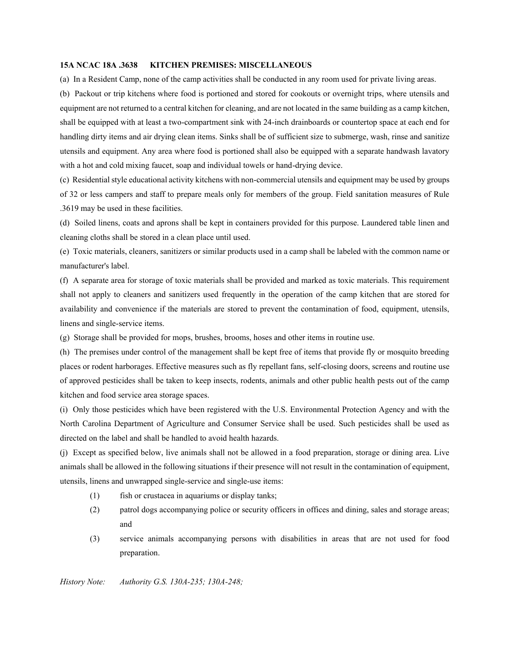#### **15A NCAC 18A .3638 KITCHEN PREMISES: MISCELLANEOUS**

(a) In a Resident Camp, none of the camp activities shall be conducted in any room used for private living areas.

(b) Packout or trip kitchens where food is portioned and stored for cookouts or overnight trips, where utensils and equipment are not returned to a central kitchen for cleaning, and are not located in the same building as a camp kitchen, shall be equipped with at least a two-compartment sink with 24-inch drainboards or countertop space at each end for handling dirty items and air drying clean items. Sinks shall be of sufficient size to submerge, wash, rinse and sanitize utensils and equipment. Any area where food is portioned shall also be equipped with a separate handwash lavatory with a hot and cold mixing faucet, soap and individual towels or hand-drying device.

(c) Residential style educational activity kitchens with non-commercial utensils and equipment may be used by groups of 32 or less campers and staff to prepare meals only for members of the group. Field sanitation measures of Rule .3619 may be used in these facilities.

(d) Soiled linens, coats and aprons shall be kept in containers provided for this purpose. Laundered table linen and cleaning cloths shall be stored in a clean place until used.

(e) Toxic materials, cleaners, sanitizers or similar products used in a camp shall be labeled with the common name or manufacturer's label.

(f) A separate area for storage of toxic materials shall be provided and marked as toxic materials. This requirement shall not apply to cleaners and sanitizers used frequently in the operation of the camp kitchen that are stored for availability and convenience if the materials are stored to prevent the contamination of food, equipment, utensils, linens and single-service items.

(g) Storage shall be provided for mops, brushes, brooms, hoses and other items in routine use.

(h) The premises under control of the management shall be kept free of items that provide fly or mosquito breeding places or rodent harborages. Effective measures such as fly repellant fans, self-closing doors, screens and routine use of approved pesticides shall be taken to keep insects, rodents, animals and other public health pests out of the camp kitchen and food service area storage spaces.

(i) Only those pesticides which have been registered with the U.S. Environmental Protection Agency and with the North Carolina Department of Agriculture and Consumer Service shall be used. Such pesticides shall be used as directed on the label and shall be handled to avoid health hazards.

(j) Except as specified below, live animals shall not be allowed in a food preparation, storage or dining area. Live animals shall be allowed in the following situations if their presence will not result in the contamination of equipment, utensils, linens and unwrapped single-service and single-use items:

- (1) fish or crustacea in aquariums or display tanks;
- (2) patrol dogs accompanying police or security officers in offices and dining, sales and storage areas; and
- (3) service animals accompanying persons with disabilities in areas that are not used for food preparation.

*History Note: Authority G.S. 130A-235; 130A-248;*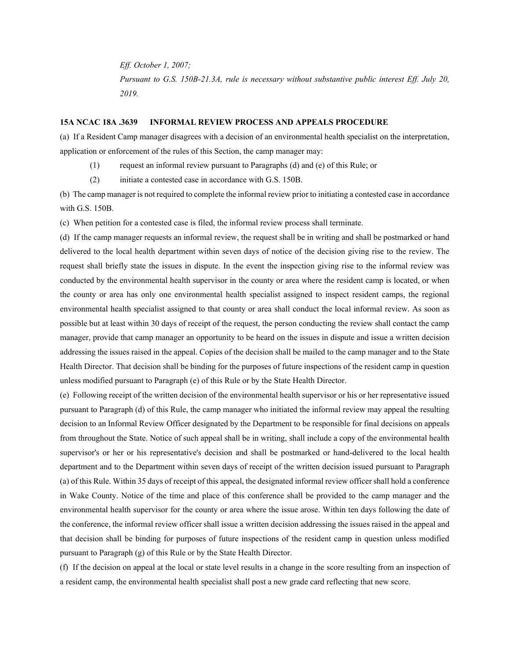*Eff. October 1, 2007; Pursuant to G.S. 150B-21.3A, rule is necessary without substantive public interest Eff. July 20, 2019.*

#### **15A NCAC 18A .3639 INFORMAL REVIEW PROCESS AND APPEALS PROCEDURE**

(a) If a Resident Camp manager disagrees with a decision of an environmental health specialist on the interpretation, application or enforcement of the rules of this Section, the camp manager may:

- (1) request an informal review pursuant to Paragraphs (d) and (e) of this Rule; or
- (2) initiate a contested case in accordance with G.S. 150B.

(b) The camp manager is not required to complete the informal review prior to initiating a contested case in accordance with G.S. 150B.

(c) When petition for a contested case is filed, the informal review process shall terminate.

(d) If the camp manager requests an informal review, the request shall be in writing and shall be postmarked or hand delivered to the local health department within seven days of notice of the decision giving rise to the review. The request shall briefly state the issues in dispute. In the event the inspection giving rise to the informal review was conducted by the environmental health supervisor in the county or area where the resident camp is located, or when the county or area has only one environmental health specialist assigned to inspect resident camps, the regional environmental health specialist assigned to that county or area shall conduct the local informal review. As soon as possible but at least within 30 days of receipt of the request, the person conducting the review shall contact the camp manager, provide that camp manager an opportunity to be heard on the issues in dispute and issue a written decision addressing the issues raised in the appeal. Copies of the decision shall be mailed to the camp manager and to the State Health Director. That decision shall be binding for the purposes of future inspections of the resident camp in question unless modified pursuant to Paragraph (e) of this Rule or by the State Health Director.

(e) Following receipt of the written decision of the environmental health supervisor or his or her representative issued pursuant to Paragraph (d) of this Rule, the camp manager who initiated the informal review may appeal the resulting decision to an Informal Review Officer designated by the Department to be responsible for final decisions on appeals from throughout the State. Notice of such appeal shall be in writing, shall include a copy of the environmental health supervisor's or her or his representative's decision and shall be postmarked or hand-delivered to the local health department and to the Department within seven days of receipt of the written decision issued pursuant to Paragraph (a) of this Rule. Within 35 days of receipt of this appeal, the designated informal review officer shall hold a conference in Wake County. Notice of the time and place of this conference shall be provided to the camp manager and the environmental health supervisor for the county or area where the issue arose. Within ten days following the date of the conference, the informal review officer shall issue a written decision addressing the issues raised in the appeal and that decision shall be binding for purposes of future inspections of the resident camp in question unless modified pursuant to Paragraph (g) of this Rule or by the State Health Director.

(f) If the decision on appeal at the local or state level results in a change in the score resulting from an inspection of a resident camp, the environmental health specialist shall post a new grade card reflecting that new score.